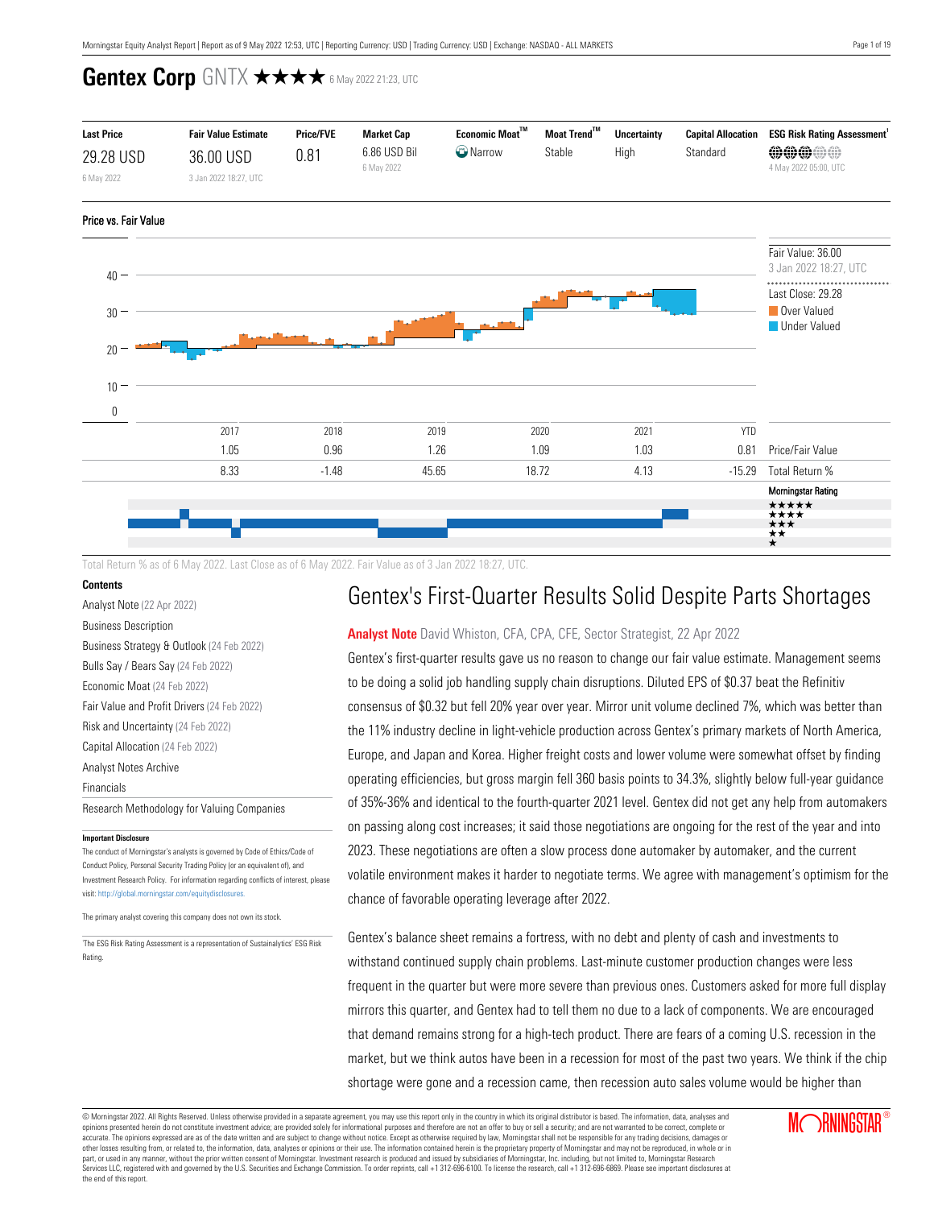

Total Return % as of 6 May 2022. Last Close as of 6 May 2022. Fair Value as of 3 Jan 2022 18:27, UTC.

### **Contents**

[Analyst Note](#page-0-0) (22 Apr 2022) [Business Description](#page-1-0) [Business Strategy & Outlook](#page-1-1) (24 Feb 2022) [Bulls Say / Bears Say](#page-1-2) (24 Feb 2022) [Economic Moat](#page-2-0) (24 Feb 2022) [Fair Value and Profit Drivers](#page-4-0) (24 Feb 2022) [Risk and Uncertainty](#page-5-0) (24 Feb 2022) [Capital Allocation](#page-5-1) (24 Feb 2022) [Analyst Notes Archive](#page-7-0) [Financials](#page-14-0) [Research Methodology for Valuing Companies](#page-15-0) **Important Disclosure**

The conduct of Morningstar's analysts is governed by Code of Ethics/Code of Conduct Policy, Personal Security Trading Policy (or an equivalent of), and Investment Research Policy. For information regarding conflicts of interest, please visit: http://global.morningstar.com/equitydisclosures.

The primary analyst covering this company does not own its stock.

1 The ESG Risk Rating Assessment is a representation of Sustainalytics' ESG Risk Rating.

# Gentex's First-Quarter Results Solid Despite Parts Shortages

### <span id="page-0-0"></span>**Analyst Note** David Whiston, CFA, CPA, CFE, Sector Strategist, 22 Apr 2022

Gentex's first-quarter results gave us no reason to change our fair value estimate. Management seems to be doing a solid job handling supply chain disruptions. Diluted EPS of \$0.37 beat the Refinitiv consensus of \$0.32 but fell 20% year over year. Mirror unit volume declined 7%, which was better than the 11% industry decline in light-vehicle production across Gentex's primary markets of North America, Europe, and Japan and Korea. Higher freight costs and lower volume were somewhat offset by finding operating efficiencies, but gross margin fell 360 basis points to 34.3%, slightly below full-year guidance of 35%-36% and identical to the fourth-quarter 2021 level. Gentex did not get any help from automakers on passing along cost increases; it said those negotiations are ongoing for the rest of the year and into 2023. These negotiations are often a slow process done automaker by automaker, and the current volatile environment makes it harder to negotiate terms. We agree with management's optimism for the chance of favorable operating leverage after 2022.

Gentex's balance sheet remains a fortress, with no debt and plenty of cash and investments to withstand continued supply chain problems. Last-minute customer production changes were less frequent in the quarter but were more severe than previous ones. Customers asked for more full display mirrors this quarter, and Gentex had to tell them no due to a lack of components. We are encouraged that demand remains strong for a high-tech product. There are fears of a coming U.S. recession in the market, but we think autos have been in a recession for most of the past two years. We think if the chip shortage were gone and a recession came, then recession auto sales volume would be higher than

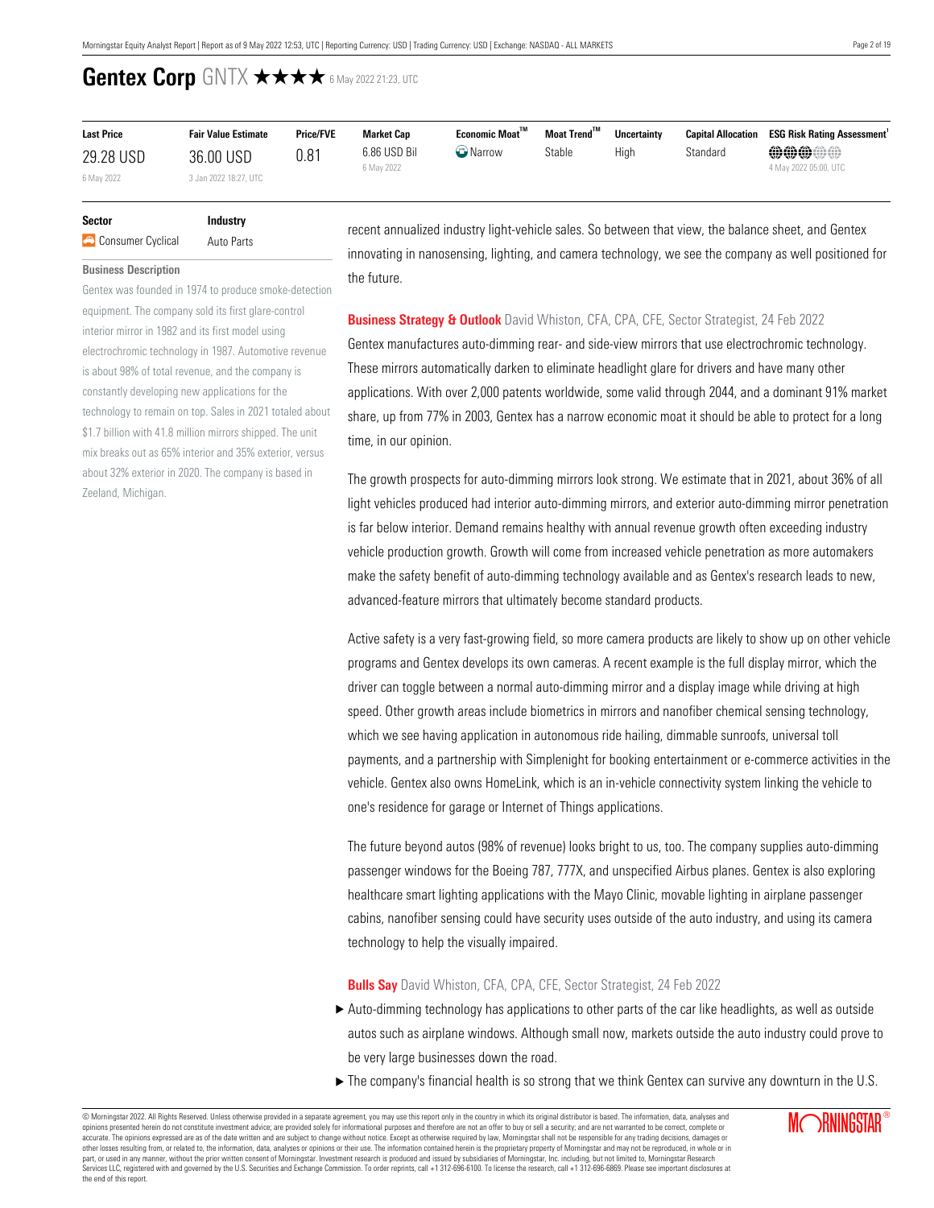| <b>Last Price</b> | <b>Fair Value Estimate</b> | <b>Price/FVE</b> | <b>Market Cap</b>          | Economic Moat™  | Moat Trend <sup>™</sup> | <b>Uncertainty</b> | <b>Capital Allocation</b> | <b>ESG Risk Rating Assessment</b>     |
|-------------------|----------------------------|------------------|----------------------------|-----------------|-------------------------|--------------------|---------------------------|---------------------------------------|
| 29.28 USD         | 36.00 USD                  | 0.81             | 6.86 USD Bil<br>6 May 2022 | <b>W</b> Narrow | Stable                  | High               | Standard                  | <b>@@@@@</b><br>4 May 2022 05:00, UTC |
| 6 May 2022        | 3 Jan 2022 18:27, UTC      |                  |                            |                 |                         |                    |                           |                                       |

### **Sector Industry A** Consumer Cyclical Auto Parts

#### <span id="page-1-0"></span>**Business Description**

Gentex was founded in 1974 to produce smoke-detection equipment. The company sold its first glare-control interior mirror in 1982 and its first model using electrochromic technology in 1987. Automotive revenue is about 98% of total revenue, and the company is constantly developing new applications for the technology to remain on top. Sales in 2021 totaled about \$1.7 billion with 41.8 million mirrors shipped. The unit mix breaks out as 65% interior and 35% exterior, versus about 32% exterior in 2020. The company is based in Zeeland, Michigan.

recent annualized industry light-vehicle sales. So between that view, the balance sheet, and Gentex innovating in nanosensing, lighting, and camera technology, we see the company as well positioned for the future.

### <span id="page-1-1"></span>**Business Strategy & Outlook** David Whiston, CFA, CPA, CFE, Sector Strategist, 24 Feb 2022

Gentex manufactures auto-dimming rear- and side-view mirrors that use electrochromic technology. These mirrors automatically darken to eliminate headlight glare for drivers and have many other applications. With over 2,000 patents worldwide, some valid through 2044, and a dominant 91% market share, up from 77% in 2003, Gentex has a narrow economic moat it should be able to protect for a long time, in our opinion.

The growth prospects for auto-dimming mirrors look strong. We estimate that in 2021, about 36% of all light vehicles produced had interior auto-dimming mirrors, and exterior auto-dimming mirror penetration is far below interior. Demand remains healthy with annual revenue growth often exceeding industry vehicle production growth. Growth will come from increased vehicle penetration as more automakers make the safety benefit of auto-dimming technology available and as Gentex's research leads to new, advanced-feature mirrors that ultimately become standard products.

Active safety is a very fast-growing field, so more camera products are likely to show up on other vehicle programs and Gentex develops its own cameras. A recent example is the full display mirror, which the driver can toggle between a normal auto-dimming mirror and a display image while driving at high speed. Other growth areas include biometrics in mirrors and nanofiber chemical sensing technology, which we see having application in autonomous ride hailing, dimmable sunroofs, universal toll payments, and a partnership with Simplenight for booking entertainment or e-commerce activities in the vehicle. Gentex also owns HomeLink, which is an in-vehicle connectivity system linking the vehicle to one's residence for garage or Internet of Things applications.

The future beyond autos (98% of revenue) looks bright to us, too. The company supplies auto-dimming passenger windows for the Boeing 787, 777X, and unspecified Airbus planes. Gentex is also exploring healthcare smart lighting applications with the Mayo Clinic, movable lighting in airplane passenger cabins, nanofiber sensing could have security uses outside of the auto industry, and using its camera technology to help the visually impaired.

<span id="page-1-2"></span>**Bulls Say** David Whiston, CFA, CPA, CFE, Sector Strategist, 24 Feb 2022

- $\blacktriangleright$  Auto-dimming technology has applications to other parts of the car like headlights, as well as outside autos such as airplane windows. Although small now, markets outside the auto industry could prove to be very large businesses down the road.
- $\blacktriangleright$  The company's financial health is so strong that we think Gentex can survive any downturn in the U.S.

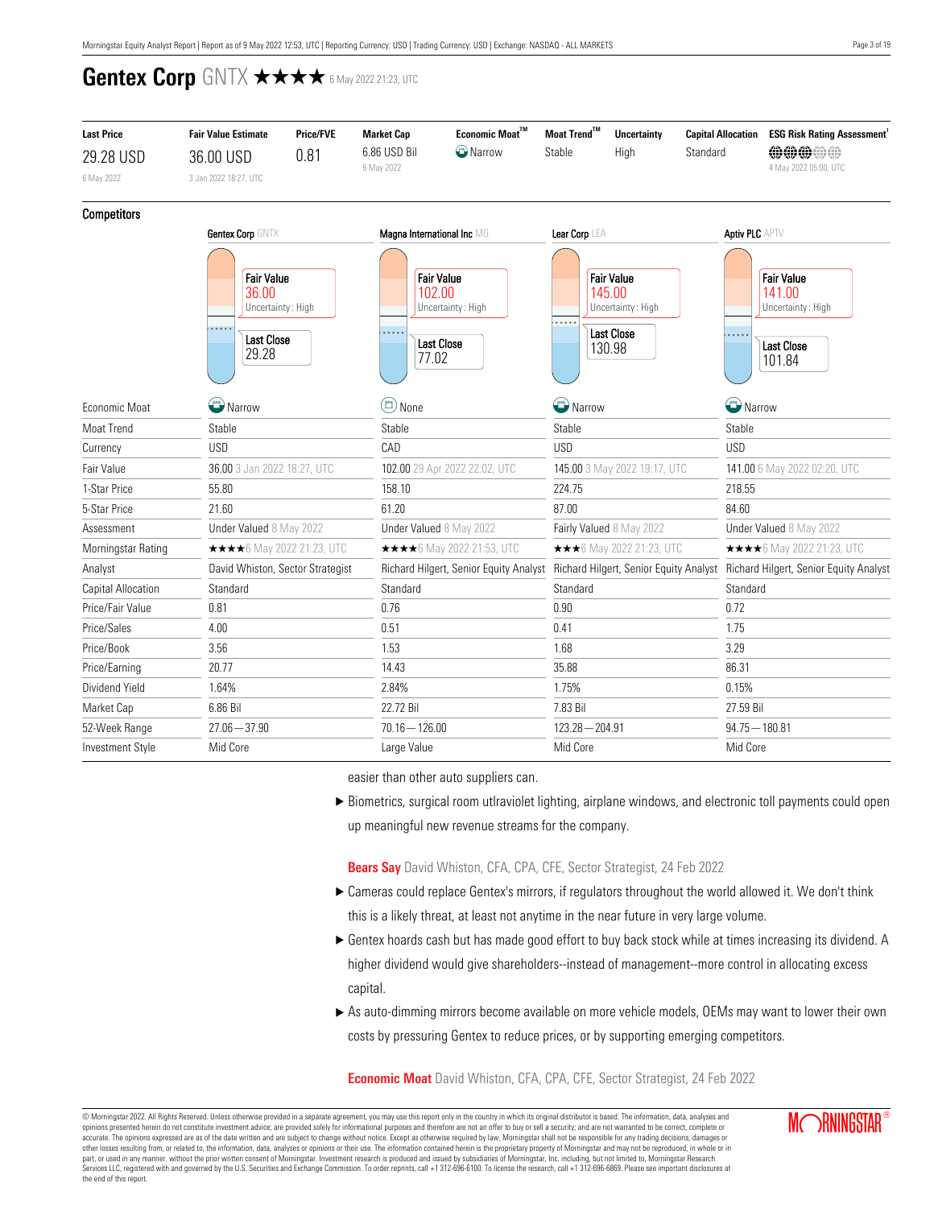| <b>Last Price</b>                                                             | <b>Fair Value Estimate</b>        | <b>Price/FVE</b> | <b>Market Cap</b>    | Economic Moat™                                              | Moat Trend™       | <b>Uncertainty</b>                                                              | <b>Capital Allocation</b> | <b>ESG Risk Rating Assessment</b>                                               |  |  |
|-------------------------------------------------------------------------------|-----------------------------------|------------------|----------------------|-------------------------------------------------------------|-------------------|---------------------------------------------------------------------------------|---------------------------|---------------------------------------------------------------------------------|--|--|
| 29.28 USD                                                                     | 36.00 USD                         | 0.81             | 6.86 USD Bil         | <b>C</b> Narrow                                             | Stable            | High                                                                            | Standard                  | <b>MMM</b>                                                                      |  |  |
| 6 May 2022                                                                    | 3 Jan 2022 18:27, UTC             |                  | 6 May 2022           |                                                             |                   |                                                                                 |                           | 4 May 2022 05:00, UTC                                                           |  |  |
| <b>Competitors</b>                                                            |                                   |                  |                      |                                                             |                   |                                                                                 |                           |                                                                                 |  |  |
|                                                                               | Gentex Corp GNTX                  |                  |                      | Magna International Inc MG                                  | Lear Corp LEA     |                                                                                 | <b>Aptiv PLC APTV</b>     |                                                                                 |  |  |
| <b>Fair Value</b><br>36.00<br>Uncertainty: High<br><b>Last Close</b><br>29.28 |                                   |                  | 102.00<br>.<br>77.02 | <b>Fair Value</b><br>Uncertainty: High<br><b>Last Close</b> | .                 | <b>Fair Value</b><br>145.00<br>Uncertainty: High<br><b>Last Close</b><br>130.98 | $\overline{a}$            | <b>Fair Value</b><br>141.00<br>Uncertainty: High<br><b>Last Close</b><br>101.84 |  |  |
| Economic Moat                                                                 | Narrow                            |                  |                      | $\circledcirc$ None                                         |                   | <sup>2</sup> Narrow                                                             | Narrow                    |                                                                                 |  |  |
| Moat Trend                                                                    | Stable                            |                  | Stable               |                                                             | Stable            |                                                                                 | Stable                    |                                                                                 |  |  |
| Currency                                                                      | <b>USD</b>                        |                  | CAD                  |                                                             | <b>USD</b>        |                                                                                 | <b>USD</b>                |                                                                                 |  |  |
| Fair Value                                                                    | 36.00 3 Jan 2022 18:27, UTC       |                  |                      | 102.00 29 Apr 2022 22:02, UTC                               |                   | 145.00 3 May 2022 19:17, UTC                                                    |                           | 141.00 6 May 2022 02:20, UTC                                                    |  |  |
| 1-Star Price                                                                  | 55.80                             |                  | 158.10               |                                                             | 224.75            |                                                                                 | 218.55                    |                                                                                 |  |  |
| 5-Star Price                                                                  | 21.60                             |                  | 61.20                |                                                             | 87.00             |                                                                                 | 84.60                     |                                                                                 |  |  |
| Assessment                                                                    | Under Valued 8 May 2022           |                  |                      | Under Valued 8 May 2022                                     |                   | Fairly Valued 8 May 2022                                                        |                           | Under Valued 8 May 2022                                                         |  |  |
| Morningstar Rating                                                            | <b>★★★★</b> 6 May 2022 21:23, UTC |                  |                      | <b>★★★★</b> 6 May 2022 21:53, UTC                           |                   | ★★★6 May 2022 21:23, UTC                                                        |                           | ★★★★6 May 2022 21:23, UTC                                                       |  |  |
| Analyst                                                                       | David Whiston, Sector Strategist  |                  |                      | Richard Hilgert, Senior Equity Analyst                      |                   | Richard Hilgert, Senior Equity Analyst                                          |                           | Richard Hilgert, Senior Equity Analyst                                          |  |  |
| Capital Allocation                                                            | Standard                          |                  | Standard             |                                                             | Standard          |                                                                                 | Standard                  |                                                                                 |  |  |
| Price/Fair Value                                                              | 0.81                              |                  | 0.76                 |                                                             | 0.90              |                                                                                 | 0.72                      |                                                                                 |  |  |
| Price/Sales                                                                   | 4.00                              |                  | 0.51                 |                                                             | 0.41              |                                                                                 | 1.75                      |                                                                                 |  |  |
| Price/Book                                                                    | 3.56                              |                  | 1.53                 |                                                             | 1.68              |                                                                                 | 3.29                      |                                                                                 |  |  |
| Price/Earning                                                                 | 20.77                             |                  |                      | 14.43                                                       |                   |                                                                                 | 86.31                     |                                                                                 |  |  |
| Dividend Yield                                                                | 1.64%                             |                  | 2.84%                | 1.75%                                                       |                   |                                                                                 | 0.15%                     |                                                                                 |  |  |
| Market Cap                                                                    | 6.86 Bil                          |                  | 22.72 Bil            |                                                             | 7.83 Bil          |                                                                                 | 27.59 Bil                 |                                                                                 |  |  |
| 52-Week Range                                                                 | $27.06 - 37.90$                   |                  | $70.16 - 126.00$     |                                                             | $123.28 - 204.91$ |                                                                                 | $94.75 - 180.81$          |                                                                                 |  |  |
| <b>Investment Style</b>                                                       | Mid Core                          |                  | Large Value          |                                                             | Mid Core          |                                                                                 | Mid Core                  |                                                                                 |  |  |

easier than other auto suppliers can.

▶ Biometrics, surgical room utlraviolet lighting, airplane windows, and electronic toll payments could open up meaningful new revenue streams for the company.

**Bears Say** David Whiston, CFA, CPA, CFE, Sector Strategist, 24 Feb 2022

- ► Cameras could replace Gentex's mirrors, if regulators throughout the world allowed it. We don't think this is a likely threat, at least not anytime in the near future in very large volume.
- Gentex hoards cash but has made good effort to buy back stock while at times increasing its dividend. A higher dividend would give shareholders--instead of management--more control in allocating excess capital.
- ▶ As auto-dimming mirrors become available on more vehicle models, OEMs may want to lower their own costs by pressuring Gentex to reduce prices, or by supporting emerging competitors.

<span id="page-2-0"></span>**Economic Moat** David Whiston, CFA, CPA, CFE, Sector Strategist, 24 Feb 2022

© Morningstar 2022. All Rights Reserved. Unless otherwise provided in a separate agreement, you may use this report only in the country in which its original distributor is based. The information, data, analyses and opinions presented herein do not constitute investment advice; are provided solely for informational purposes and therefore are not an offer to buy or sell a security; and are not warranted to be correct, complete or accurate. The opinions expressed are as of the date written and are subject to change without notice. Except as otherwise required by law, Morningstar shall not be responsible for any trading decisions, damages or<br>other lo part, or used in any manner, without the prior written consent of Morningstar. Investment research is produced and issued by subsidiaries of Morningstar, Inc. including, but not limited to, Morningstar Research<br>Services LL the end of this report.

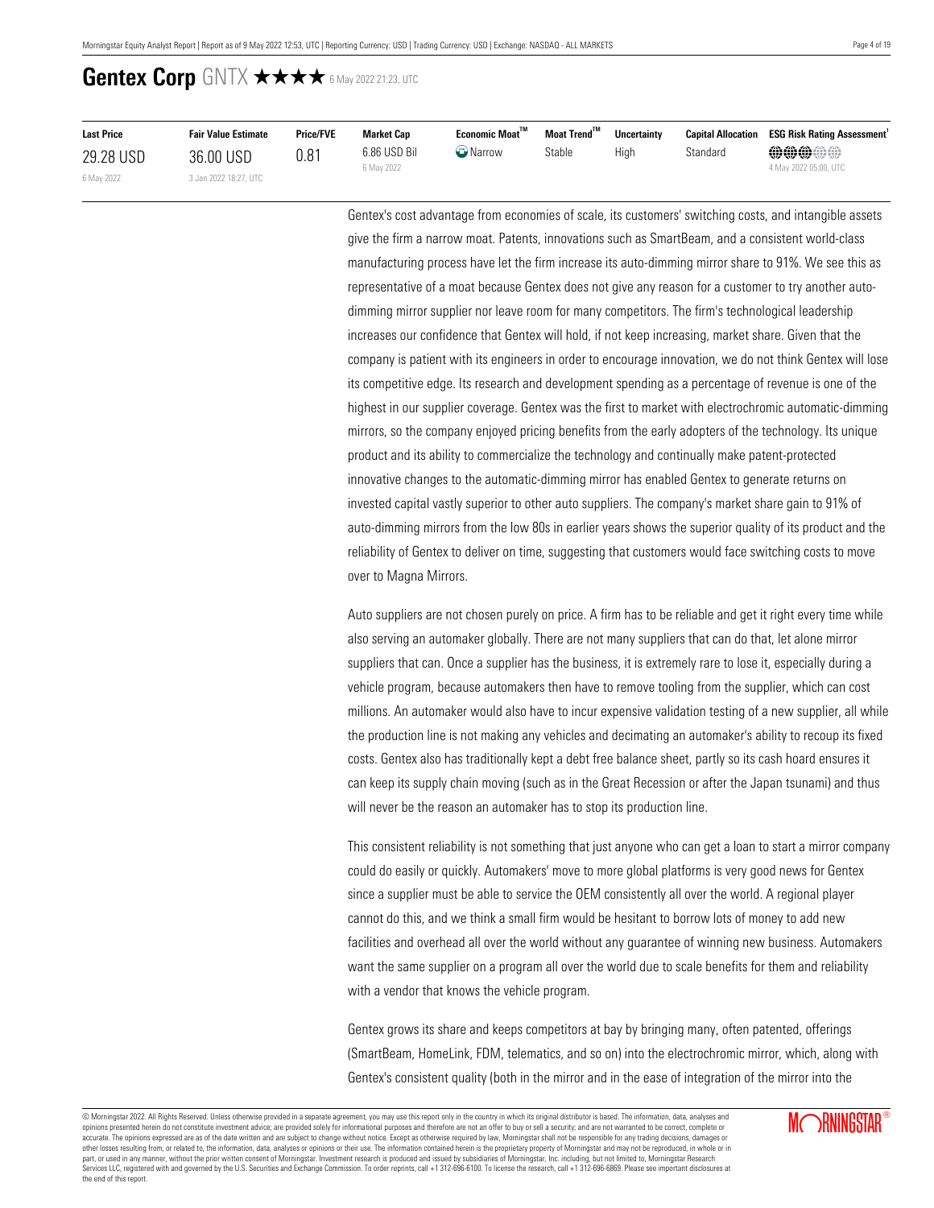| <b>Last Price</b> | <b>Fair Value Estimate</b> | <b>Price/FVE</b> | <b>Market Cap</b>          | $E$ conomic Moat $^{\text{TM}}$ | Moat Trend™ | <b>Uncertainty</b> |          | <b>Capital Allocation ESG Risk Rating Assessment</b> |
|-------------------|----------------------------|------------------|----------------------------|---------------------------------|-------------|--------------------|----------|------------------------------------------------------|
| 29.28 USD         | 36.00 USD                  | 0.81             | 6.86 USD Bil<br>6 May 2022 | $\bigcirc$ Narrow               | Stable      | Hiah               | Standard | <b>@@@@@</b><br>4 May 2022 05:00, UTC                |
| 6 May 2022        | 3 Jan 2022 18:27. UTC      |                  |                            |                                 |             |                    |          |                                                      |

Gentex's cost advantage from economies of scale, its customers' switching costs, and intangible assets give the firm a narrow moat. Patents, innovations such as SmartBeam, and a consistent world-class manufacturing process have let the firm increase its auto-dimming mirror share to 91%. We see this as representative of a moat because Gentex does not give any reason for a customer to try another autodimming mirror supplier nor leave room for many competitors. The firm's technological leadership increases our confidence that Gentex will hold, if not keep increasing, market share. Given that the company is patient with its engineers in order to encourage innovation, we do not think Gentex will lose its competitive edge. Its research and development spending as a percentage of revenue is one of the highest in our supplier coverage. Gentex was the first to market with electrochromic automatic-dimming mirrors, so the company enjoyed pricing benefits from the early adopters of the technology. Its unique product and its ability to commercialize the technology and continually make patent-protected innovative changes to the automatic-dimming mirror has enabled Gentex to generate returns on invested capital vastly superior to other auto suppliers. The company's market share gain to 91% of auto-dimming mirrors from the low 80s in earlier years shows the superior quality of its product and the reliability of Gentex to deliver on time, suggesting that customers would face switching costs to move over to Magna Mirrors.

Auto suppliers are not chosen purely on price. A firm has to be reliable and get it right every time while also serving an automaker globally. There are not many suppliers that can do that, let alone mirror suppliers that can. Once a supplier has the business, it is extremely rare to lose it, especially during a vehicle program, because automakers then have to remove tooling from the supplier, which can cost millions. An automaker would also have to incur expensive validation testing of a new supplier, all while the production line is not making any vehicles and decimating an automaker's ability to recoup its fixed costs. Gentex also has traditionally kept a debt free balance sheet, partly so its cash hoard ensures it can keep its supply chain moving (such as in the Great Recession or after the Japan tsunami) and thus will never be the reason an automaker has to stop its production line.

This consistent reliability is not something that just anyone who can get a loan to start a mirror company could do easily or quickly. Automakers' move to more global platforms is very good news for Gentex since a supplier must be able to service the OEM consistently all over the world. A regional player cannot do this, and we think a small firm would be hesitant to borrow lots of money to add new facilities and overhead all over the world without any guarantee of winning new business. Automakers want the same supplier on a program all over the world due to scale benefits for them and reliability with a vendor that knows the vehicle program.

Gentex grows its share and keeps competitors at bay by bringing many, often patented, offerings (SmartBeam, HomeLink, FDM, telematics, and so on) into the electrochromic mirror, which, along with Gentex's consistent quality (both in the mirror and in the ease of integration of the mirror into the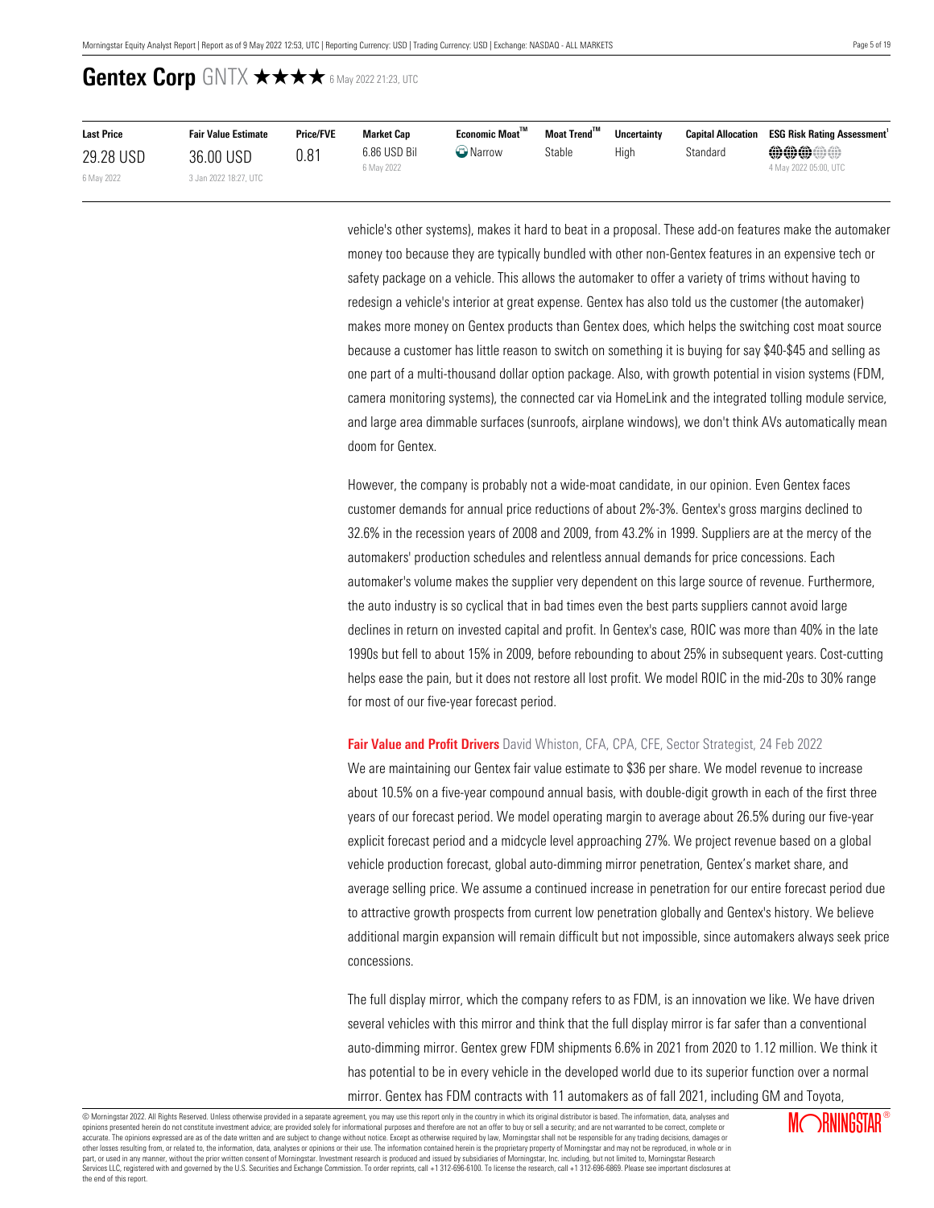| <b>Last Price</b> | <b>Fair Value Estimate</b> | <b>Price/FVE</b> | <b>Market Cap</b>          | Economic Moat <sup>™</sup> | Moat Trend <sup>™</sup> | <b>Uncertainty</b> |          | <b>Capital Allocation ESG Risk Rating Assessment</b> |
|-------------------|----------------------------|------------------|----------------------------|----------------------------|-------------------------|--------------------|----------|------------------------------------------------------|
| 29.28 USD         | 36.00 USD                  | 0.81             | 6.86 USD Bil<br>6 May 2022 | $\bigcirc$ Narrow          | Stable                  | High               | Standard | <b>@@@@#</b><br>4 May 2022 05:00, UTC                |
| 6 May 2022        | 3 Jan 2022 18:27, UTC      |                  |                            |                            |                         |                    |          |                                                      |

vehicle's other systems), makes it hard to beat in a proposal. These add-on features make the automaker money too because they are typically bundled with other non-Gentex features in an expensive tech or safety package on a vehicle. This allows the automaker to offer a variety of trims without having to redesign a vehicle's interior at great expense. Gentex has also told us the customer (the automaker) makes more money on Gentex products than Gentex does, which helps the switching cost moat source because a customer has little reason to switch on something it is buying for say \$40-\$45 and selling as one part of a multi-thousand dollar option package. Also, with growth potential in vision systems (FDM, camera monitoring systems), the connected car via HomeLink and the integrated tolling module service, and large area dimmable surfaces (sunroofs, airplane windows), we don't think AVs automatically mean doom for Gentex.

However, the company is probably not a wide-moat candidate, in our opinion. Even Gentex faces customer demands for annual price reductions of about 2%-3%. Gentex's gross margins declined to 32.6% in the recession years of 2008 and 2009, from 43.2% in 1999. Suppliers are at the mercy of the automakers' production schedules and relentless annual demands for price concessions. Each automaker's volume makes the supplier very dependent on this large source of revenue. Furthermore, the auto industry is so cyclical that in bad times even the best parts suppliers cannot avoid large declines in return on invested capital and profit. In Gentex's case, ROIC was more than 40% in the late 1990s but fell to about 15% in 2009, before rebounding to about 25% in subsequent years. Cost-cutting helps ease the pain, but it does not restore all lost profit. We model ROIC in the mid-20s to 30% range for most of our five-year forecast period.

### <span id="page-4-0"></span>**Fair Value and Profit Drivers** David Whiston, CFA, CPA, CFE, Sector Strategist, 24 Feb 2022

We are maintaining our Gentex fair value estimate to \$36 per share. We model revenue to increase about 10.5% on a five-year compound annual basis, with double-digit growth in each of the first three years of our forecast period. We model operating margin to average about 26.5% during our five-year explicit forecast period and a midcycle level approaching 27%. We project revenue based on a global vehicle production forecast, global auto-dimming mirror penetration, Gentex's market share, and average selling price. We assume a continued increase in penetration for our entire forecast period due to attractive growth prospects from current low penetration globally and Gentex's history. We believe additional margin expansion will remain difficult but not impossible, since automakers always seek price concessions.

The full display mirror, which the company refers to as FDM, is an innovation we like. We have driven several vehicles with this mirror and think that the full display mirror is far safer than a conventional auto-dimming mirror. Gentex grew FDM shipments 6.6% in 2021 from 2020 to 1.12 million. We think it has potential to be in every vehicle in the developed world due to its superior function over a normal mirror. Gentex has FDM contracts with 11 automakers as of fall 2021, including GM and Toyota,

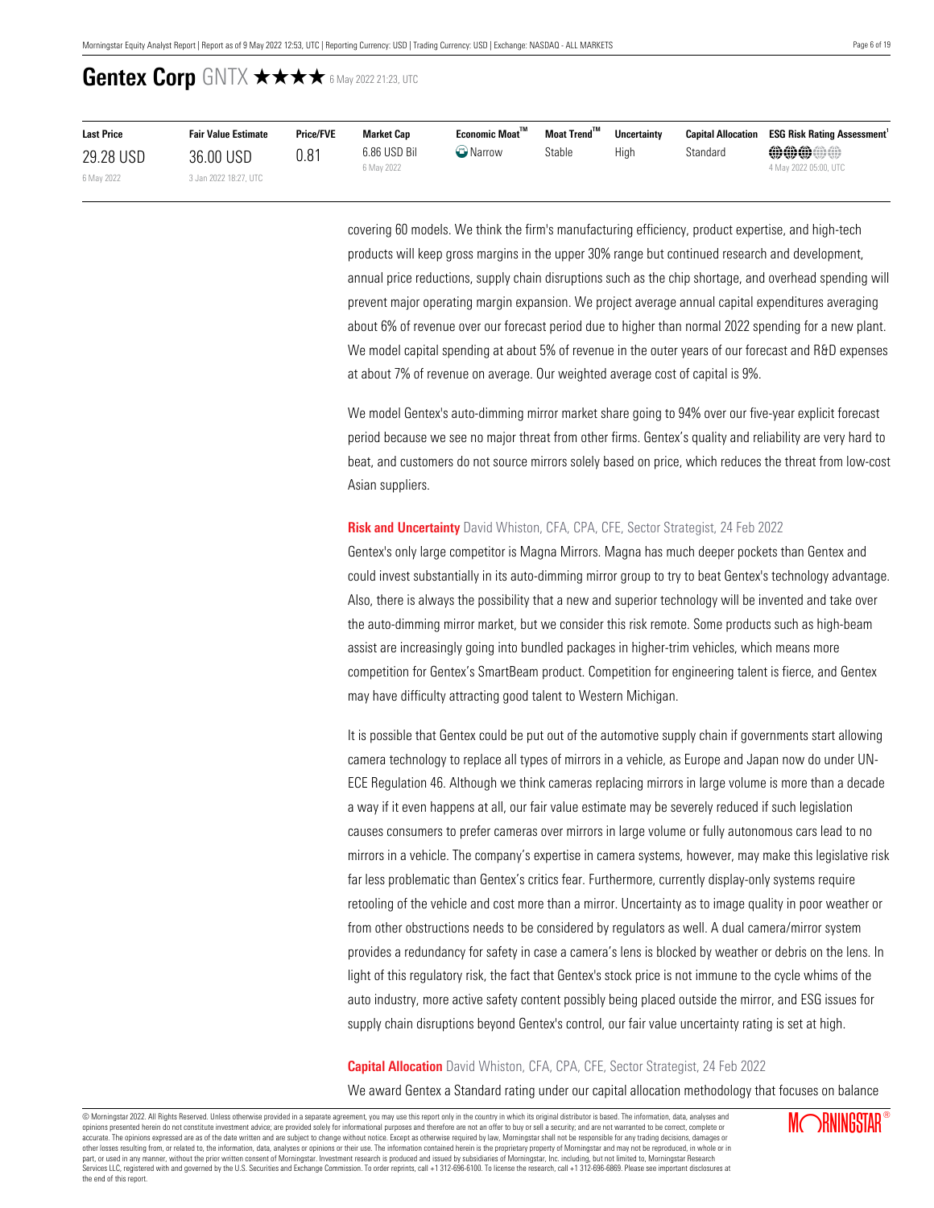| <b>Last Price</b> | <b>Fair Value Estimate</b> | <b>Price/FVE</b> | <b>Market Cap</b>          | $E$ conomic Moat $^{\text{TM}}$ | Moat Trend™ | <b>Uncertainty</b> |          | <b>Capital Allocation ESG Risk Rating Assessment</b> |
|-------------------|----------------------------|------------------|----------------------------|---------------------------------|-------------|--------------------|----------|------------------------------------------------------|
| 29.28 USD         | 36.00 USD                  | 0.81             | 6.86 USD Bil<br>6 May 2022 | <b>W</b> Narrow                 | Stable      | Hiah               | Standard | <b>@@@@@</b>                                         |
| 6 May 2022        | 3 Jan 2022 18:27, UTC      |                  |                            |                                 |             |                    |          | 4 May 2022 05:00, UTC                                |

covering 60 models. We think the firm's manufacturing efficiency, product expertise, and high-tech products will keep gross margins in the upper 30% range but continued research and development, annual price reductions, supply chain disruptions such as the chip shortage, and overhead spending will prevent major operating margin expansion. We project average annual capital expenditures averaging about 6% of revenue over our forecast period due to higher than normal 2022 spending for a new plant. We model capital spending at about 5% of revenue in the outer years of our forecast and R&D expenses at about 7% of revenue on average. Our weighted average cost of capital is 9%.

We model Gentex's auto-dimming mirror market share going to 94% over our five-year explicit forecast period because we see no major threat from other firms. Gentex's quality and reliability are very hard to beat, and customers do not source mirrors solely based on price, which reduces the threat from low-cost Asian suppliers.

### <span id="page-5-0"></span>**Risk and Uncertainty** David Whiston, CFA, CPA, CFE, Sector Strategist, 24 Feb 2022

Gentex's only large competitor is Magna Mirrors. Magna has much deeper pockets than Gentex and could invest substantially in its auto-dimming mirror group to try to beat Gentex's technology advantage. Also, there is always the possibility that a new and superior technology will be invented and take over the auto-dimming mirror market, but we consider this risk remote. Some products such as high-beam assist are increasingly going into bundled packages in higher-trim vehicles, which means more competition for Gentex's SmartBeam product. Competition for engineering talent is fierce, and Gentex may have difficulty attracting good talent to Western Michigan.

It is possible that Gentex could be put out of the automotive supply chain if governments start allowing camera technology to replace all types of mirrors in a vehicle, as Europe and Japan now do under UN-ECE Regulation 46. Although we think cameras replacing mirrors in large volume is more than a decade a way if it even happens at all, our fair value estimate may be severely reduced if such legislation causes consumers to prefer cameras over mirrors in large volume or fully autonomous cars lead to no mirrors in a vehicle. The company's expertise in camera systems, however, may make this legislative risk far less problematic than Gentex's critics fear. Furthermore, currently display-only systems require retooling of the vehicle and cost more than a mirror. Uncertainty as to image quality in poor weather or from other obstructions needs to be considered by regulators as well. A dual camera/mirror system provides a redundancy for safety in case a camera's lens is blocked by weather or debris on the lens. In light of this regulatory risk, the fact that Gentex's stock price is not immune to the cycle whims of the auto industry, more active safety content possibly being placed outside the mirror, and ESG issues for supply chain disruptions beyond Gentex's control, our fair value uncertainty rating is set at high.

#### <span id="page-5-1"></span>**Capital Allocation** David Whiston, CFA, CPA, CFE, Sector Strategist, 24 Feb 2022

We award Gentex a Standard rating under our capital allocation methodology that focuses on balance

© Morningstar 2022. All Rights Reserved. Unless otherwise provided in a separate agreement, you may use this report only in the country in which its original distributor is based. The information, data, analyses and opinions presented herein do not constitute investment advice; are provided solely for informational purposes and therefore are not an offer to buy or sell a security; and are not warranted to be correct, complete or accurate. The opinions expressed are as of the date written and are subject to change without notice. Except as otherwise required by law, Morningstar shall not be responsible for any trading decisions, damages or other losses resulting from, or related to, the information, data, analyses or opinions or their use. The information contained herein is the proprietary property of Morningstar and may not be reproduced, in whole or in ou part, or used in any manner, without the prior written consent of Morningstar. Investment research is produced and issued by subsidiaries of Morningstar, Inc. including, but not limited to, Morningstar Research puryor calor many manual and governed by the U.S. Securities and Exchange Commission. To order reprints, call +1 312-696-6100. To license the research, call +1 312-696-6869. Please see important disclosures at the commissi the end of this report.

**MORNINGSTAR®**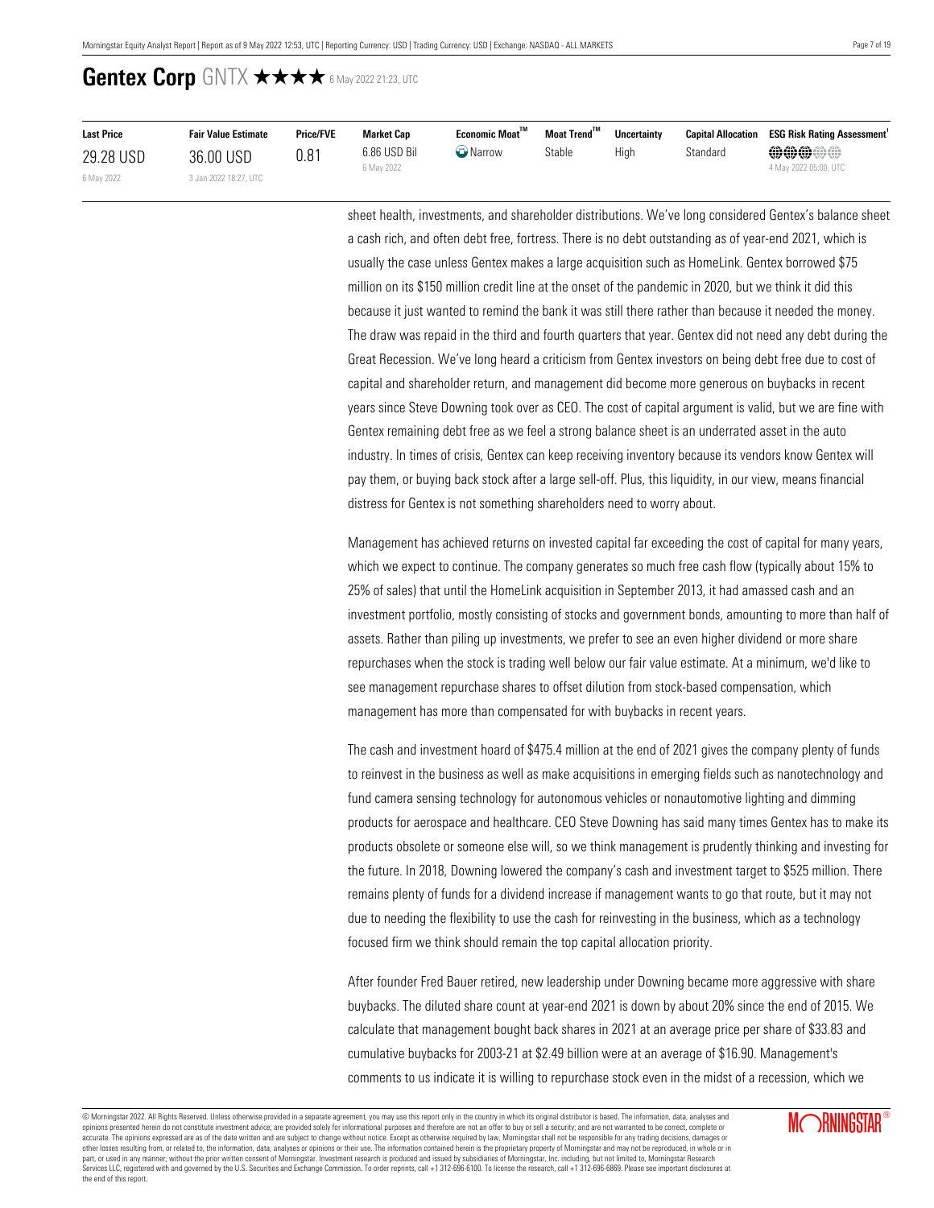| <b>Last Price</b> | <b>Fair Value Estimate</b> | <b>Price/FVE</b> | <b>Market Cap</b>          | $E$ conomic Moat $^{\text{TM}}$ | Moat Trend™ | <b>Uncertainty</b> |          | <b>Capital Allocation ESG Risk Rating Assessment</b> |
|-------------------|----------------------------|------------------|----------------------------|---------------------------------|-------------|--------------------|----------|------------------------------------------------------|
| 29.28 USD         | 36.00 USD                  | 0.81             | 6.86 USD Bil<br>6 May 2022 | $\bigcirc$ Narrow               | Stable      | Hiah               | Standard | <b>@@@@@</b><br>4 May 2022 05:00, UTC                |
| 6 May 2022        | 3 Jan 2022 18:27. UTC      |                  |                            |                                 |             |                    |          |                                                      |

sheet health, investments, and shareholder distributions. We've long considered Gentex's balance sheet a cash rich, and often debt free, fortress. There is no debt outstanding as of year-end 2021, which is usually the case unless Gentex makes a large acquisition such as HomeLink. Gentex borrowed \$75 million on its \$150 million credit line at the onset of the pandemic in 2020, but we think it did this because it just wanted to remind the bank it was still there rather than because it needed the money. The draw was repaid in the third and fourth quarters that year. Gentex did not need any debt during the Great Recession. We've long heard a criticism from Gentex investors on being debt free due to cost of capital and shareholder return, and management did become more generous on buybacks in recent years since Steve Downing took over as CEO. The cost of capital argument is valid, but we are fine with Gentex remaining debt free as we feel a strong balance sheet is an underrated asset in the auto industry. In times of crisis, Gentex can keep receiving inventory because its vendors know Gentex will pay them, or buying back stock after a large sell-off. Plus, this liquidity, in our view, means financial distress for Gentex is not something shareholders need to worry about.

Management has achieved returns on invested capital far exceeding the cost of capital for many years, which we expect to continue. The company generates so much free cash flow (typically about 15% to 25% of sales) that until the HomeLink acquisition in September 2013, it had amassed cash and an investment portfolio, mostly consisting of stocks and government bonds, amounting to more than half of assets. Rather than piling up investments, we prefer to see an even higher dividend or more share repurchases when the stock is trading well below our fair value estimate. At a minimum, we'd like to see management repurchase shares to offset dilution from stock-based compensation, which management has more than compensated for with buybacks in recent years.

The cash and investment hoard of \$475.4 million at the end of 2021 gives the company plenty of funds to reinvest in the business as well as make acquisitions in emerging fields such as nanotechnology and fund camera sensing technology for autonomous vehicles or nonautomotive lighting and dimming products for aerospace and healthcare. CEO Steve Downing has said many times Gentex has to make its products obsolete or someone else will, so we think management is prudently thinking and investing for the future. In 2018, Downing lowered the company's cash and investment target to \$525 million. There remains plenty of funds for a dividend increase if management wants to go that route, but it may not due to needing the flexibility to use the cash for reinvesting in the business, which as a technology focused firm we think should remain the top capital allocation priority.

After founder Fred Bauer retired, new leadership under Downing became more aggressive with share buybacks. The diluted share count at year-end 2021 is down by about 20% since the end of 2015. We calculate that management bought back shares in 2021 at an average price per share of \$33.83 and cumulative buybacks for 2003-21 at \$2.49 billion were at an average of \$16.90. Management's comments to us indicate it is willing to repurchase stock even in the midst of a recession, which we

© Morningstar 2022. All Rights Reserved. Unless otherwise provided in a separate agreement, you may use this report only in the country in which its original distributor is based. The information, data, analyses and opinions presented herein do not constitute investment advice; are provided solely for informational purposes and therefore are not an offer to buy or sell a security; and are not warranted to be correct, complete or accurate. The opinions expressed are as of the date written and are subject to change without notice. Except as otherwise required by law, Morningstar shall not be responsible for any trading decisions, damages or<br>other lo part, or used in any manner, without the prior written consent of Morningstar. Investment research is produced and issued by subsidiaries of Morningstar, Inc. including, but not limited to, Morningstar Research<br>Services LL the end of this report.

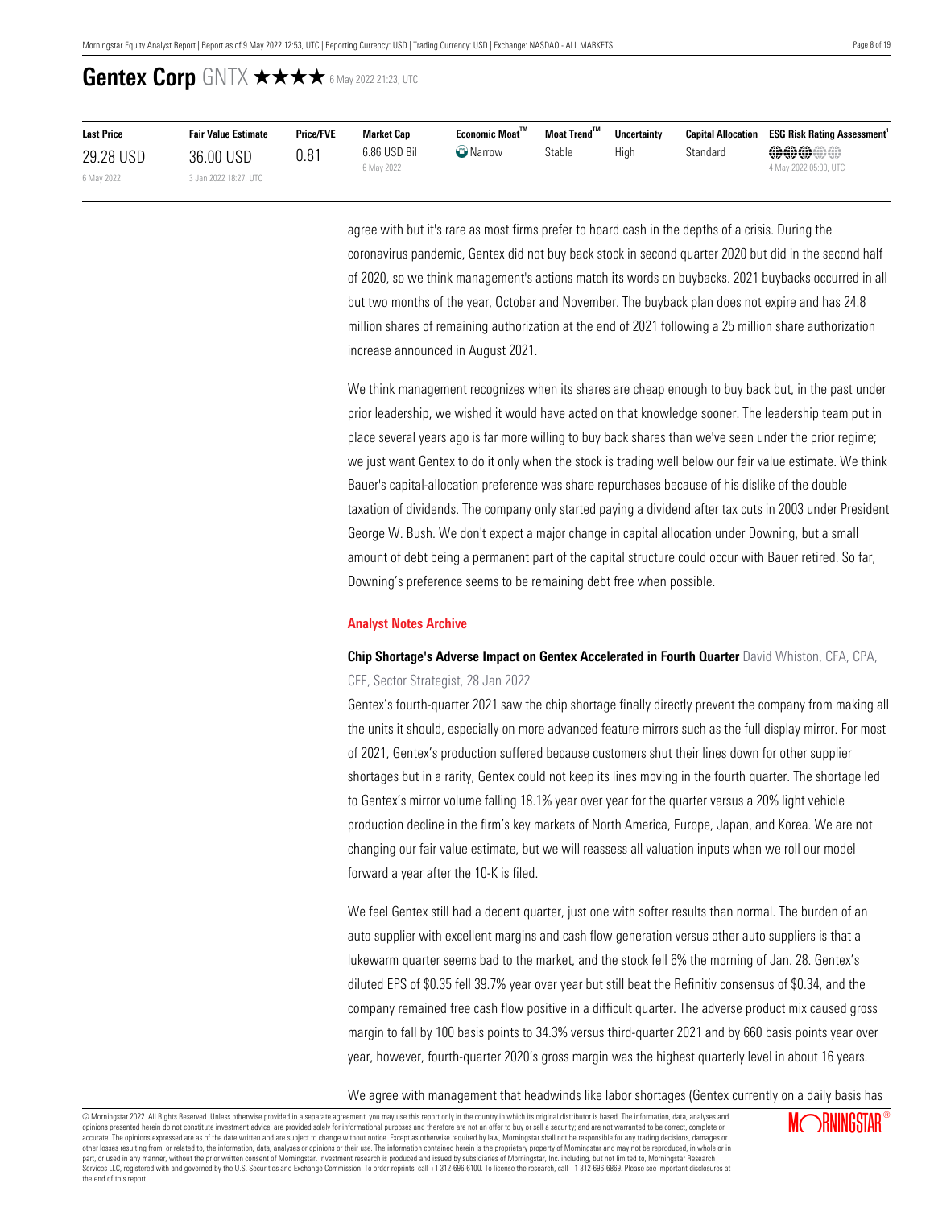| <b>Last Price</b> | <b>Fair Value Estimate</b> | <b>Price/FVE</b> | <b>Market Cap</b>          | Economic Moat™   | Moat Trend™ | <b>Uncertainty</b> | <b>Capital Allocation</b> | <b>ESG Risk Rating Assessment</b>     |
|-------------------|----------------------------|------------------|----------------------------|------------------|-------------|--------------------|---------------------------|---------------------------------------|
| 29.28 USD         | 36.00 USD                  | 0.81             | 6.86 USD Bil<br>6 May 2022 | $\bullet$ Narrow | Stable      | High               | Standard                  | <b>@@@@@</b><br>4 May 2022 05:00, UTC |
| 6 May 2022        | 3 Jan 2022 18:27, UTC      |                  |                            |                  |             |                    |                           |                                       |

agree with but it's rare as most firms prefer to hoard cash in the depths of a crisis. During the coronavirus pandemic, Gentex did not buy back stock in second quarter 2020 but did in the second half of 2020, so we think management's actions match its words on buybacks. 2021 buybacks occurred in all but two months of the year, October and November. The buyback plan does not expire and has 24.8 million shares of remaining authorization at the end of 2021 following a 25 million share authorization increase announced in August 2021.

We think management recognizes when its shares are cheap enough to buy back but, in the past under prior leadership, we wished it would have acted on that knowledge sooner. The leadership team put in place several years ago is far more willing to buy back shares than we've seen under the prior regime; we just want Gentex to do it only when the stock is trading well below our fair value estimate. We think Bauer's capital-allocation preference was share repurchases because of his dislike of the double taxation of dividends. The company only started paying a dividend after tax cuts in 2003 under President George W. Bush. We don't expect a major change in capital allocation under Downing, but a small amount of debt being a permanent part of the capital structure could occur with Bauer retired. So far, Downing's preference seems to be remaining debt free when possible.

#### <span id="page-7-0"></span>**Analyst Notes Archive**

### **Chip Shortage's Adverse Impact on Gentex Accelerated in Fourth Quarter** David Whiston, CFA, CPA, CFE, Sector Strategist, 28 Jan 2022

Gentex's fourth-quarter 2021 saw the chip shortage finally directly prevent the company from making all the units it should, especially on more advanced feature mirrors such as the full display mirror. For most of 2021, Gentex's production suffered because customers shut their lines down for other supplier shortages but in a rarity, Gentex could not keep its lines moving in the fourth quarter. The shortage led to Gentex's mirror volume falling 18.1% year over year for the quarter versus a 20% light vehicle production decline in the firm's key markets of North America, Europe, Japan, and Korea. We are not changing our fair value estimate, but we will reassess all valuation inputs when we roll our model forward a year after the 10-K is filed.

We feel Gentex still had a decent quarter, just one with softer results than normal. The burden of an auto supplier with excellent margins and cash flow generation versus other auto suppliers is that a lukewarm quarter seems bad to the market, and the stock fell 6% the morning of Jan. 28. Gentex's diluted EPS of \$0.35 fell 39.7% year over year but still beat the Refinitiv consensus of \$0.34, and the company remained free cash flow positive in a difficult quarter. The adverse product mix caused gross margin to fall by 100 basis points to 34.3% versus third-quarter 2021 and by 660 basis points year over year, however, fourth-quarter 2020's gross margin was the highest quarterly level in about 16 years.

We agree with management that headwinds like labor shortages (Gentex currently on a daily basis has

© Morningstar 2022. All Rights Reserved. Unless otherwise provided in a separate agreement, you may use this report only in the country in which its original distributor is based. The information, data, analyses and opinions presented herein do not constitute investment advice; are provided solely for informational purposes and therefore are not an offer to buy or sell a security; and are not warranted to be correct, complete or accurate. The opinions expressed are as of the date written and are subject to change without notice. Except as otherwise required by law, Morningstar shall not be responsible for any trading decisions, damages or other losses resulting from, or related to, the information, data, analyses or opinions or their use. The information contained herein is the proprietary property of Morningstar and may not be reproduced, in whole or in ou part, or used in any manner, without the prior written consent of Morningstar. Investment research is produced and issued by subsidiaries of Morningstar, Inc. including, but not limited to, Morningstar Research<br>Services LL the end of this report.

**MORNINGSTAR®**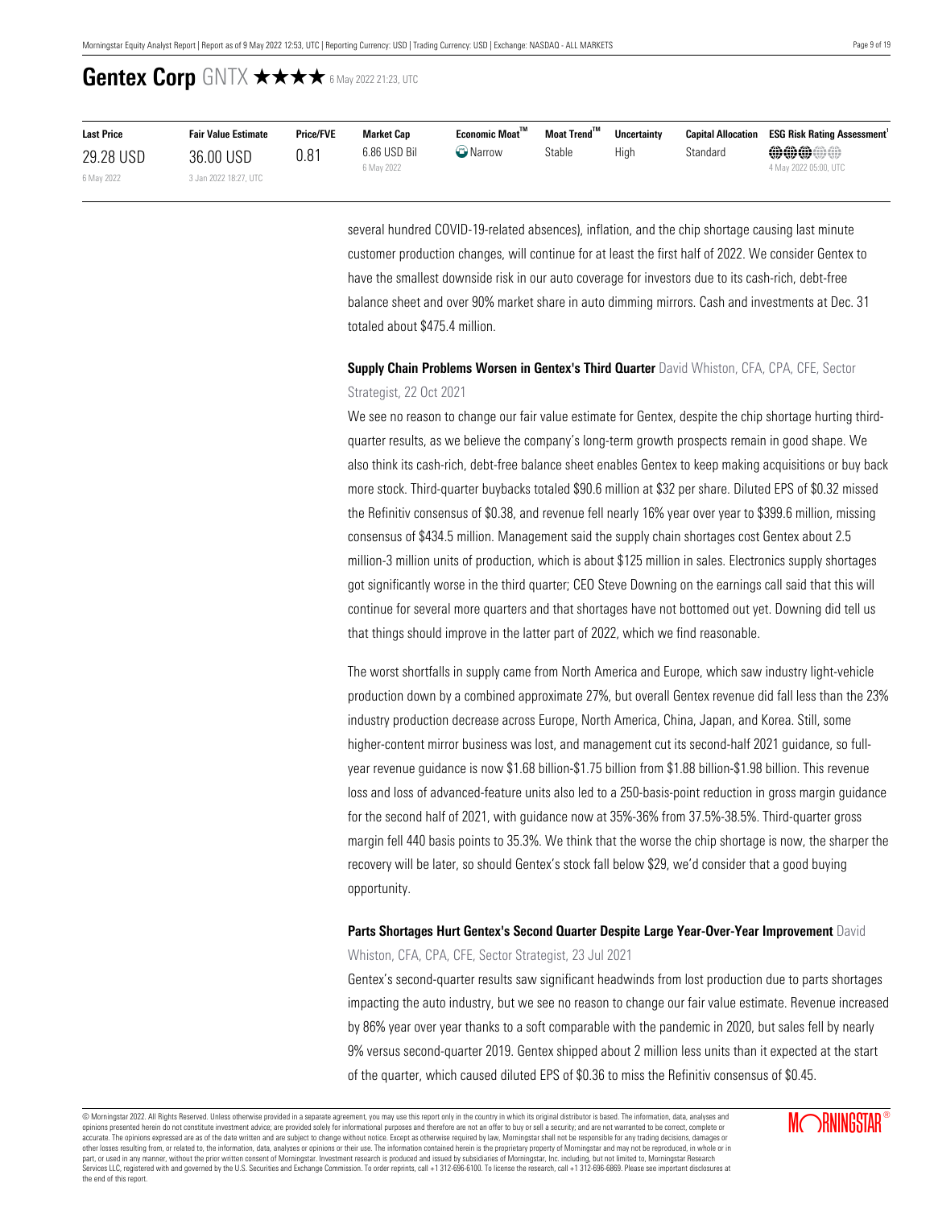| <b>Last Price</b> | <b>Fair Value Estimate</b> | <b>Price/FVE</b> | <b>Market Cap</b> | Economic Moat™  | Moat Trend <sup>™</sup> | <b>Uncertainty</b> |          | <b>Capital Allocation ESG Risk Rating Assessment'</b> |
|-------------------|----------------------------|------------------|-------------------|-----------------|-------------------------|--------------------|----------|-------------------------------------------------------|
| 29.28 USD         | 36.00 USD                  | 0.81             | 6.86 USD Bil      | <b>D</b> Narrow | Stable                  | Hiah               | Standard | <b>@@@@@</b>                                          |
| 6 May 2022        | 3 Jan 2022 18:27, UTC      |                  | 6 May 2022        |                 |                         |                    |          | 4 May 2022 05:00, UTC                                 |

several hundred COVID-19-related absences), inflation, and the chip shortage causing last minute customer production changes, will continue for at least the first half of 2022. We consider Gentex to have the smallest downside risk in our auto coverage for investors due to its cash-rich, debt-free balance sheet and over 90% market share in auto dimming mirrors. Cash and investments at Dec. 31 totaled about \$475.4 million.

### **Supply Chain Problems Worsen in Gentex's Third Quarter** David Whiston, CFA, CPA, CFE, Sector Strategist, 22 Oct 2021

We see no reason to change our fair value estimate for Gentex, despite the chip shortage hurting thirdquarter results, as we believe the company's long-term growth prospects remain in good shape. We also think its cash-rich, debt-free balance sheet enables Gentex to keep making acquisitions or buy back more stock. Third-quarter buybacks totaled \$90.6 million at \$32 per share. Diluted EPS of \$0.32 missed the Refinitiv consensus of \$0.38, and revenue fell nearly 16% year over year to \$399.6 million, missing consensus of \$434.5 million. Management said the supply chain shortages cost Gentex about 2.5 million-3 million units of production, which is about \$125 million in sales. Electronics supply shortages got significantly worse in the third quarter; CEO Steve Downing on the earnings call said that this will continue for several more quarters and that shortages have not bottomed out yet. Downing did tell us that things should improve in the latter part of 2022, which we find reasonable.

The worst shortfalls in supply came from North America and Europe, which saw industry light-vehicle production down by a combined approximate 27%, but overall Gentex revenue did fall less than the 23% industry production decrease across Europe, North America, China, Japan, and Korea. Still, some higher-content mirror business was lost, and management cut its second-half 2021 guidance, so fullyear revenue guidance is now \$1.68 billion-\$1.75 billion from \$1.88 billion-\$1.98 billion. This revenue loss and loss of advanced-feature units also led to a 250-basis-point reduction in gross margin guidance for the second half of 2021, with guidance now at 35%-36% from 37.5%-38.5%. Third-quarter gross margin fell 440 basis points to 35.3%. We think that the worse the chip shortage is now, the sharper the recovery will be later, so should Gentex's stock fall below \$29, we'd consider that a good buying opportunity.

### **Parts Shortages Hurt Gentex's Second Quarter Despite Large Year-Over-Year Improvement** David Whiston, CFA, CPA, CFE, Sector Strategist, 23 Jul 2021

Gentex's second-quarter results saw significant headwinds from lost production due to parts shortages impacting the auto industry, but we see no reason to change our fair value estimate. Revenue increased by 86% year over year thanks to a soft comparable with the pandemic in 2020, but sales fell by nearly 9% versus second-quarter 2019. Gentex shipped about 2 million less units than it expected at the start of the quarter, which caused diluted EPS of \$0.36 to miss the Refinitiv consensus of \$0.45.

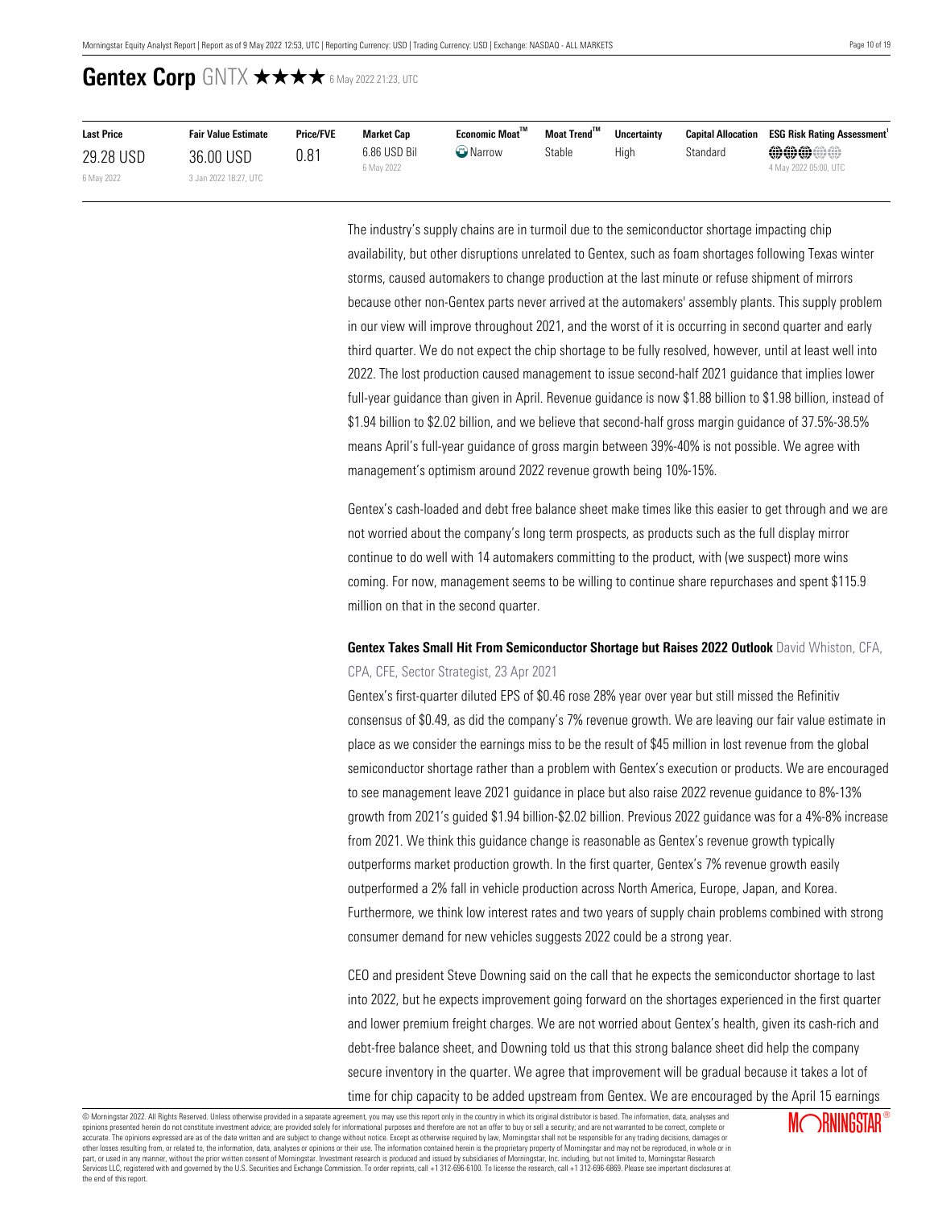| <b>Last Price</b> | <b>Fair Value Estimate</b> | <b>Price/FVE</b> | <b>Market Cap</b>          | <b>Economic Moat"</b> | Moat Trend™ | <b>Uncertainty</b> | <b>Capital Allocation</b> | <b>ESG Risk Rating Assessment</b>     |
|-------------------|----------------------------|------------------|----------------------------|-----------------------|-------------|--------------------|---------------------------|---------------------------------------|
| 29.28 USD         | 36.00 USD                  | 0.81             | 6.86 USD Bil<br>6 May 2022 | $\bigcirc$ Narrow     | Stable      | High               | Standard                  | <b>@@@@#</b><br>4 May 2022 05:00, UTC |
| 6 May 2022        | 3 Jan 2022 18:27, UTC      |                  |                            |                       |             |                    |                           |                                       |

The industry's supply chains are in turmoil due to the semiconductor shortage impacting chip availability, but other disruptions unrelated to Gentex, such as foam shortages following Texas winter storms, caused automakers to change production at the last minute or refuse shipment of mirrors because other non-Gentex parts never arrived at the automakers' assembly plants. This supply problem in our view will improve throughout 2021, and the worst of it is occurring in second quarter and early third quarter. We do not expect the chip shortage to be fully resolved, however, until at least well into 2022. The lost production caused management to issue second-half 2021 guidance that implies lower full-year guidance than given in April. Revenue guidance is now \$1.88 billion to \$1.98 billion, instead of \$1.94 billion to \$2.02 billion, and we believe that second-half gross margin guidance of 37.5%-38.5% means April's full-year guidance of gross margin between 39%-40% is not possible. We agree with management's optimism around 2022 revenue growth being 10%-15%.

Gentex's cash-loaded and debt free balance sheet make times like this easier to get through and we are not worried about the company's long term prospects, as products such as the full display mirror continue to do well with 14 automakers committing to the product, with (we suspect) more wins coming. For now, management seems to be willing to continue share repurchases and spent \$115.9 million on that in the second quarter.

### **Gentex Takes Small Hit From Semiconductor Shortage but Raises 2022 Outlook** David Whiston, CFA, CPA, CFE, Sector Strategist, 23 Apr 2021

Gentex's first-quarter diluted EPS of \$0.46 rose 28% year over year but still missed the Refinitiv consensus of \$0.49, as did the company's 7% revenue growth. We are leaving our fair value estimate in place as we consider the earnings miss to be the result of \$45 million in lost revenue from the global semiconductor shortage rather than a problem with Gentex's execution or products. We are encouraged to see management leave 2021 guidance in place but also raise 2022 revenue guidance to 8%-13% growth from 2021's guided \$1.94 billion-\$2.02 billion. Previous 2022 guidance was for a 4%-8% increase from 2021. We think this guidance change is reasonable as Gentex's revenue growth typically outperforms market production growth. In the first quarter, Gentex's 7% revenue growth easily outperformed a 2% fall in vehicle production across North America, Europe, Japan, and Korea. Furthermore, we think low interest rates and two years of supply chain problems combined with strong consumer demand for new vehicles suggests 2022 could be a strong year.

CEO and president Steve Downing said on the call that he expects the semiconductor shortage to last into 2022, but he expects improvement going forward on the shortages experienced in the first quarter and lower premium freight charges. We are not worried about Gentex's health, given its cash-rich and debt-free balance sheet, and Downing told us that this strong balance sheet did help the company secure inventory in the quarter. We agree that improvement will be gradual because it takes a lot of time for chip capacity to be added upstream from Gentex. We are encouraged by the April 15 earnings

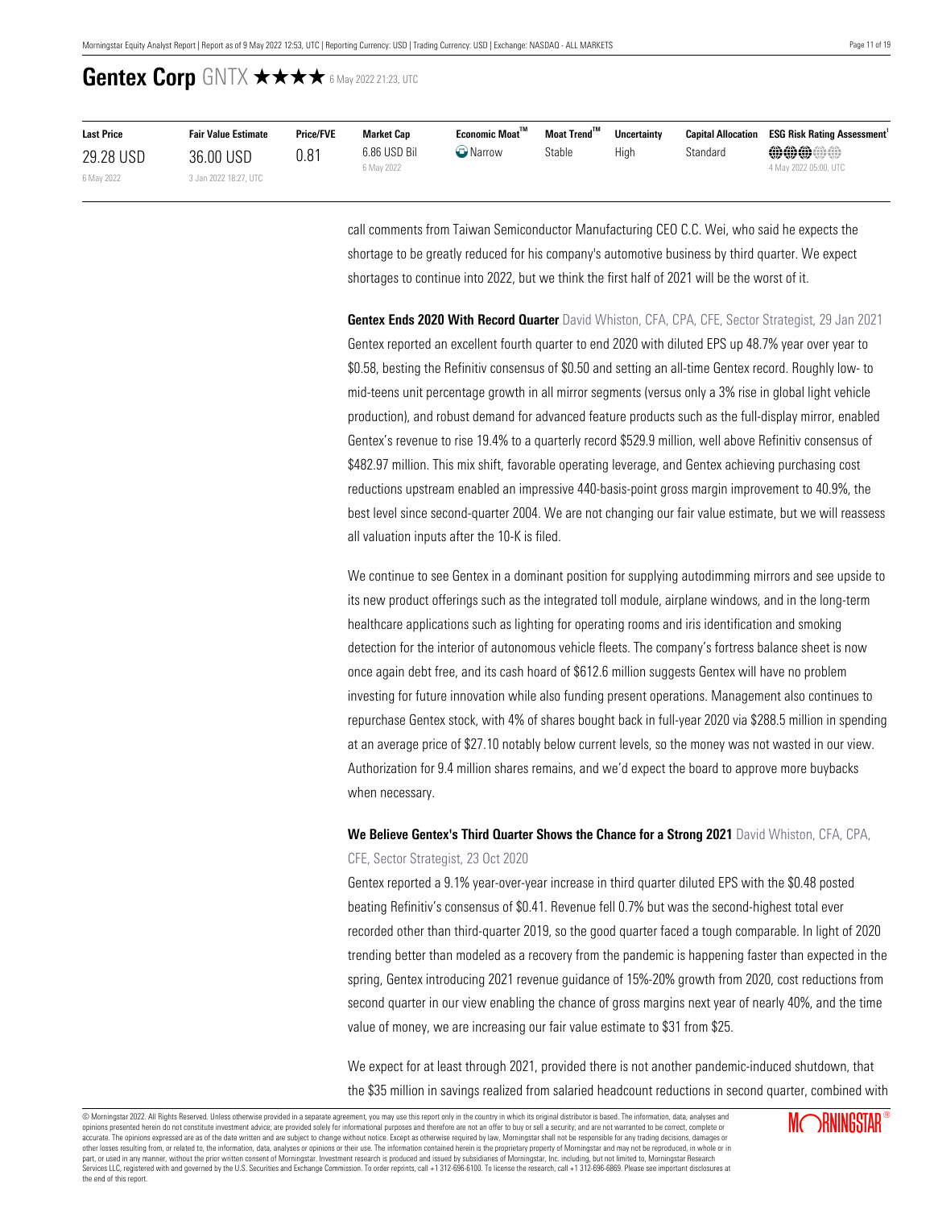| <b>Last Price</b> | <b>Fair Value Estimate</b> | <b>Price/FVE</b> | <b>Market Cap</b>          | Economic Moat <sup>™</sup> | Moat Trend <sup>™</sup> | <b>Uncertainty</b> | <b>Capital Allocation</b> | <b>ESG Risk Rating Assessment'</b>    |
|-------------------|----------------------------|------------------|----------------------------|----------------------------|-------------------------|--------------------|---------------------------|---------------------------------------|
| 29.28 USD         | 36.00 USD                  | 0.81             | 6.86 USD Bil<br>6 May 2022 | Narrow                     | Stable                  | High               | Standard                  | <b>@@@@@</b><br>4 May 2022 05:00, UTC |
| 6 May 2022        | 3 Jan 2022 18:27, UTC      |                  |                            |                            |                         |                    |                           |                                       |

call comments from Taiwan Semiconductor Manufacturing CEO C.C. Wei, who said he expects the shortage to be greatly reduced for his company's automotive business by third quarter. We expect shortages to continue into 2022, but we think the first half of 2021 will be the worst of it.

**Gentex Ends 2020 With Record Quarter** David Whiston, CFA, CPA, CFE, Sector Strategist, 29 Jan 2021 Gentex reported an excellent fourth quarter to end 2020 with diluted EPS up 48.7% year over year to \$0.58, besting the Refinitiv consensus of \$0.50 and setting an all-time Gentex record. Roughly low- to mid-teens unit percentage growth in all mirror segments (versus only a 3% rise in global light vehicle production), and robust demand for advanced feature products such as the full-display mirror, enabled Gentex's revenue to rise 19.4% to a quarterly record \$529.9 million, well above Refinitiv consensus of \$482.97 million. This mix shift, favorable operating leverage, and Gentex achieving purchasing cost reductions upstream enabled an impressive 440-basis-point gross margin improvement to 40.9%, the best level since second-quarter 2004. We are not changing our fair value estimate, but we will reassess all valuation inputs after the 10-K is filed.

We continue to see Gentex in a dominant position for supplying autodimming mirrors and see upside to its new product offerings such as the integrated toll module, airplane windows, and in the long-term healthcare applications such as lighting for operating rooms and iris identification and smoking detection for the interior of autonomous vehicle fleets. The company's fortress balance sheet is now once again debt free, and its cash hoard of \$612.6 million suggests Gentex will have no problem investing for future innovation while also funding present operations. Management also continues to repurchase Gentex stock, with 4% of shares bought back in full-year 2020 via \$288.5 million in spending at an average price of \$27.10 notably below current levels, so the money was not wasted in our view. Authorization for 9.4 million shares remains, and we'd expect the board to approve more buybacks when necessary.

**We Believe Gentex's Third Quarter Shows the Chance for a Strong 2021** David Whiston, CFA, CPA, CFE, Sector Strategist, 23 Oct 2020

Gentex reported a 9.1% year-over-year increase in third quarter diluted EPS with the \$0.48 posted beating Refinitiv's consensus of \$0.41. Revenue fell 0.7% but was the second-highest total ever recorded other than third-quarter 2019, so the good quarter faced a tough comparable. In light of 2020 trending better than modeled as a recovery from the pandemic is happening faster than expected in the spring, Gentex introducing 2021 revenue guidance of 15%-20% growth from 2020, cost reductions from second quarter in our view enabling the chance of gross margins next year of nearly 40%, and the time value of money, we are increasing our fair value estimate to \$31 from \$25.

We expect for at least through 2021, provided there is not another pandemic-induced shutdown, that the \$35 million in savings realized from salaried headcount reductions in second quarter, combined with

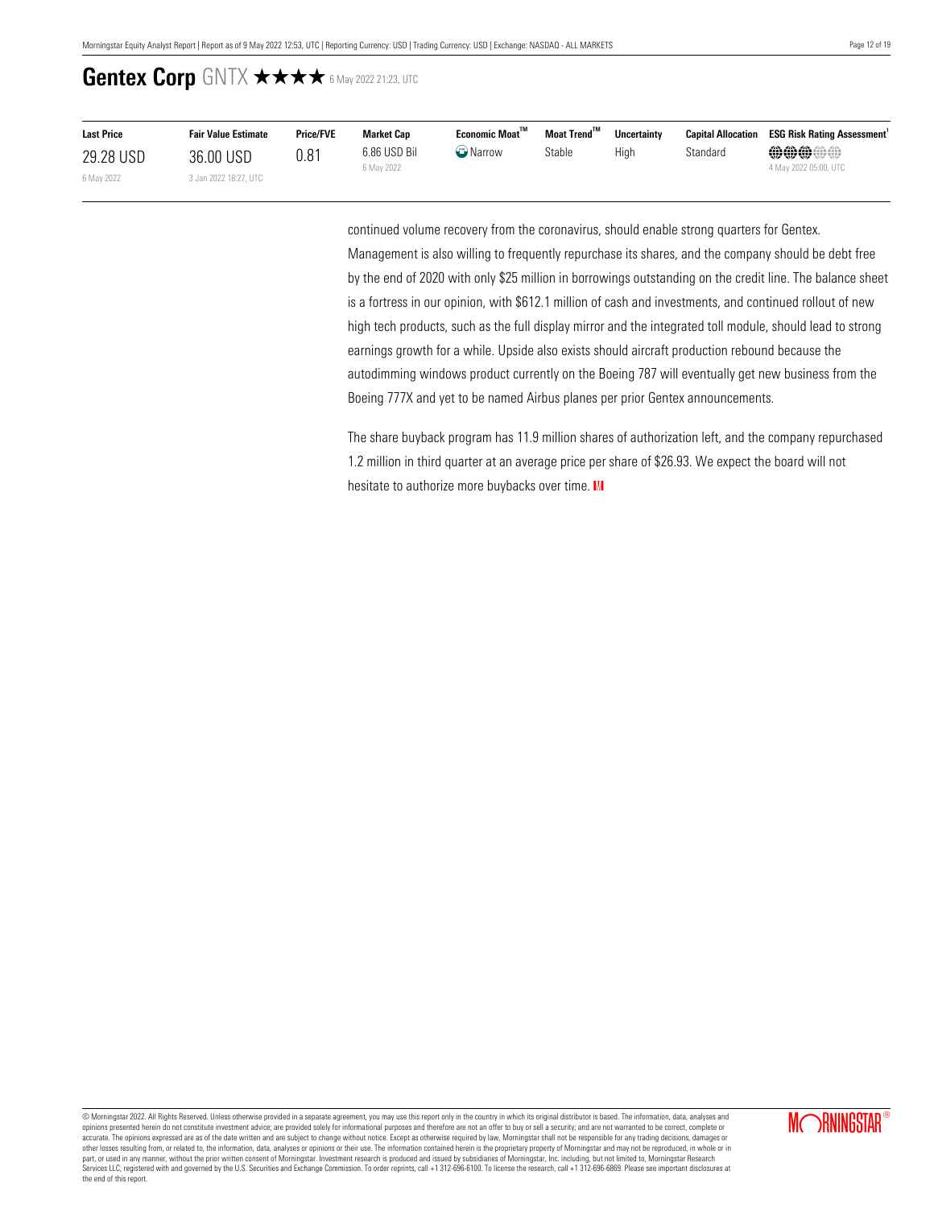| <b>Last Price</b> | <b>Fair Value Estimate</b> | <b>Price/FVE</b> | Market Cap                 | Economic Moat <sup>™</sup> | Moat Trend™ | <b>Uncertainty</b> | <b>Capital Allocation</b> | <b>ESG Risk Rating Assessment</b>     |
|-------------------|----------------------------|------------------|----------------------------|----------------------------|-------------|--------------------|---------------------------|---------------------------------------|
| 29.28 USD         | 36.00 USD                  | 0.81             | 6.86 USD Bil<br>6 May 2022 | <b>O</b> Narrow            | Stable      | Hiah               | Standard                  | <b>@@@@#</b><br>4 May 2022 05:00, UTC |
| 6 May 2022        | 3 Jan 2022 18:27, UTC      |                  |                            |                            |             |                    |                           |                                       |

continued volume recovery from the coronavirus, should enable strong quarters for Gentex. Management is also willing to frequently repurchase its shares, and the company should be debt free by the end of 2020 with only \$25 million in borrowings outstanding on the credit line. The balance sheet is a fortress in our opinion, with \$612.1 million of cash and investments, and continued rollout of new high tech products, such as the full display mirror and the integrated toll module, should lead to strong earnings growth for a while. Upside also exists should aircraft production rebound because the autodimming windows product currently on the Boeing 787 will eventually get new business from the Boeing 777X and yet to be named Airbus planes per prior Gentex announcements.

The share buyback program has 11.9 million shares of authorization left, and the company repurchased 1.2 million in third quarter at an average price per share of \$26.93. We expect the board will not hesitate to authorize more buybacks over time. IM

© Morningstar 2022. All Rights Reserved. Unless otherwise provided in a separate agreement, you may use this report only in the country in which its original distributor is based. The information, data, analyses and opinions presented herein do not constitute investment advice; are provided solely for informational purposes and therefore are not an offer to buy or sell a security; and are not warranted to be correct, complete or accurate. The opinions expressed are as of the date written and are subject to change without notice. Except as otherwise required by law, Morningstar shall not be responsible for any trading decisions, damages or<br>other lo part, or used in any manner, without the prior written consent of Morningstar. Investment research is produced and issued by subsidiaries of Morningstar, Inc. including, but not limited to, Morningstar Research<br>Services LL the end of this report.

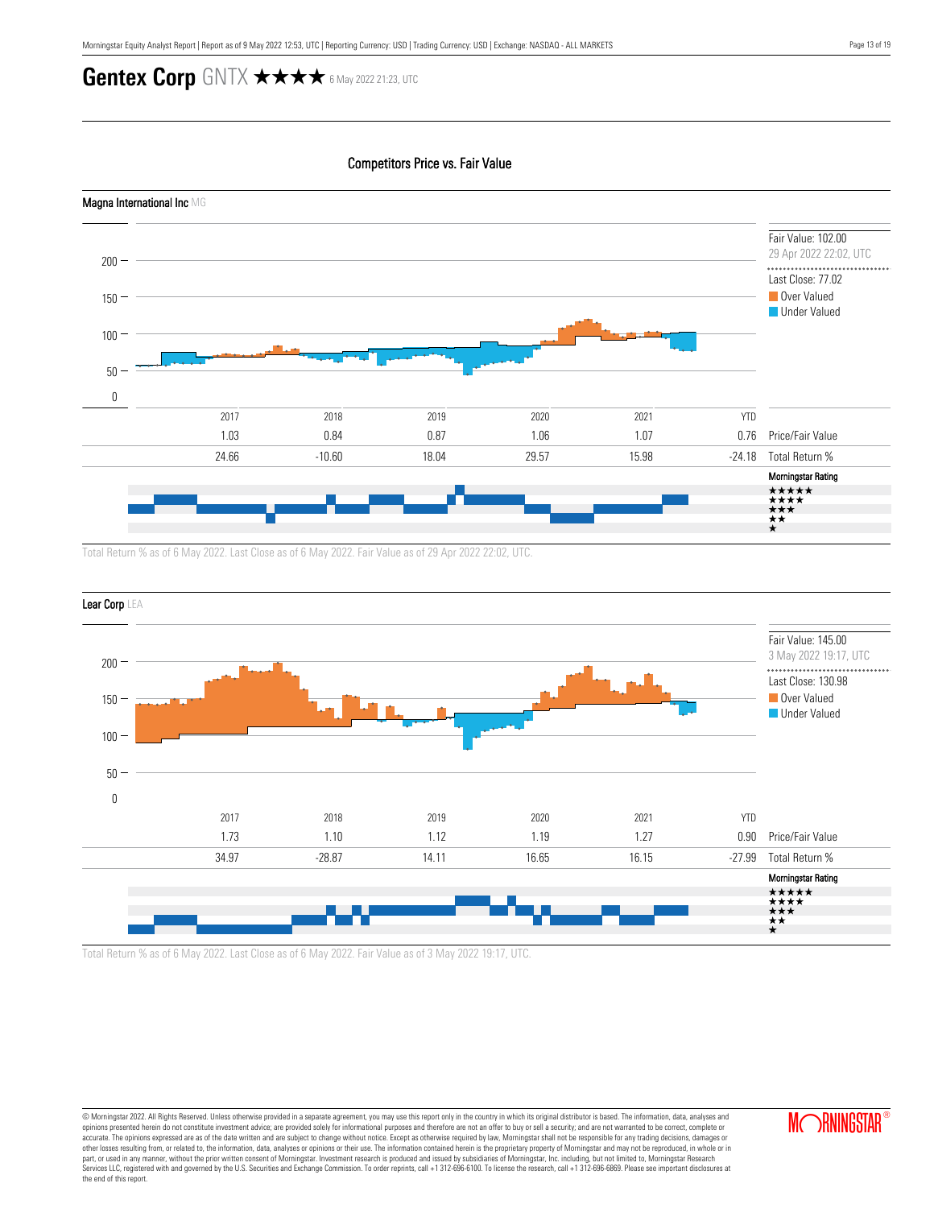### Competitors Price vs. Fair Value



Total Return % as of 6 May 2022. Last Close as of 6 May 2022. Fair Value as of 29 Apr 2022 22:02, UTC.



Total Return % as of 6 May 2022. Last Close as of 6 May 2022. Fair Value as of 3 May 2022 19:17, UTC.

© Morningstar 2022. All Rights Reserved. Unless otherwise provided in a separate agreement, you may use this report only in the country in which its original distributor is based. The information, data, analyses and opinions presented herein do not constitute investment advice; are provided solely for informational purposes and therefore are not an offer to buy or sell a security; and are not warranted to be correct, complete or accurate. The opinions expressed are as of the date written and are subject to change without notice. Except as otherwise required by law, Morningstar shall not be responsible for any trading decisions, damages or<br>other lo part, or used in any manner, without the prior written consent of Morningstar. Investment research is produced and issued by subsidiaries of Morningstar, Inc. including, but not limited to, Morningstar Research<br>Services LL the end of this report.



**MORNINGSTAR**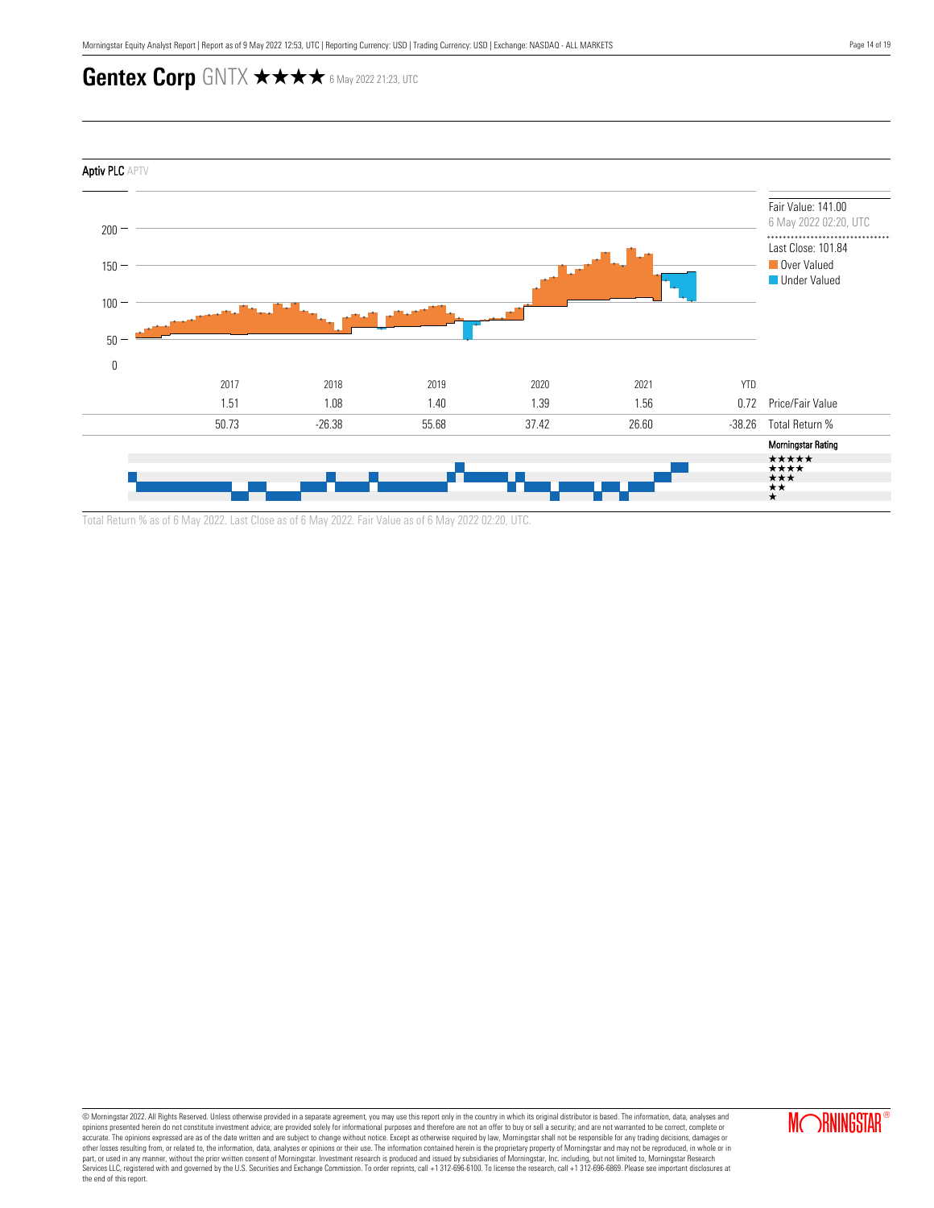

Total Return % as of 6 May 2022. Last Close as of 6 May 2022. Fair Value as of 6 May 2022 02:20, UTC.

© Morningstar 2022. All Rights Reserved. Unless otherwise provided in a separate agreement, you may use this report only in the country in which its original distributor is based. The information, data, analyses and<br>opinio accurate. The opinions expressed are as of the date written and are subject to change without notice. Except as otherwise required by law, Morningstar shall not be responsible for any trading decisions, damages or<br>other lo part, or used in any manner, without the prior written consent of Morningstar. Investment research is produced and issued by subsidiaries of Morningstar, Inc. including, but not limited to, Morningstar Research<br>Services LL the end of this report.

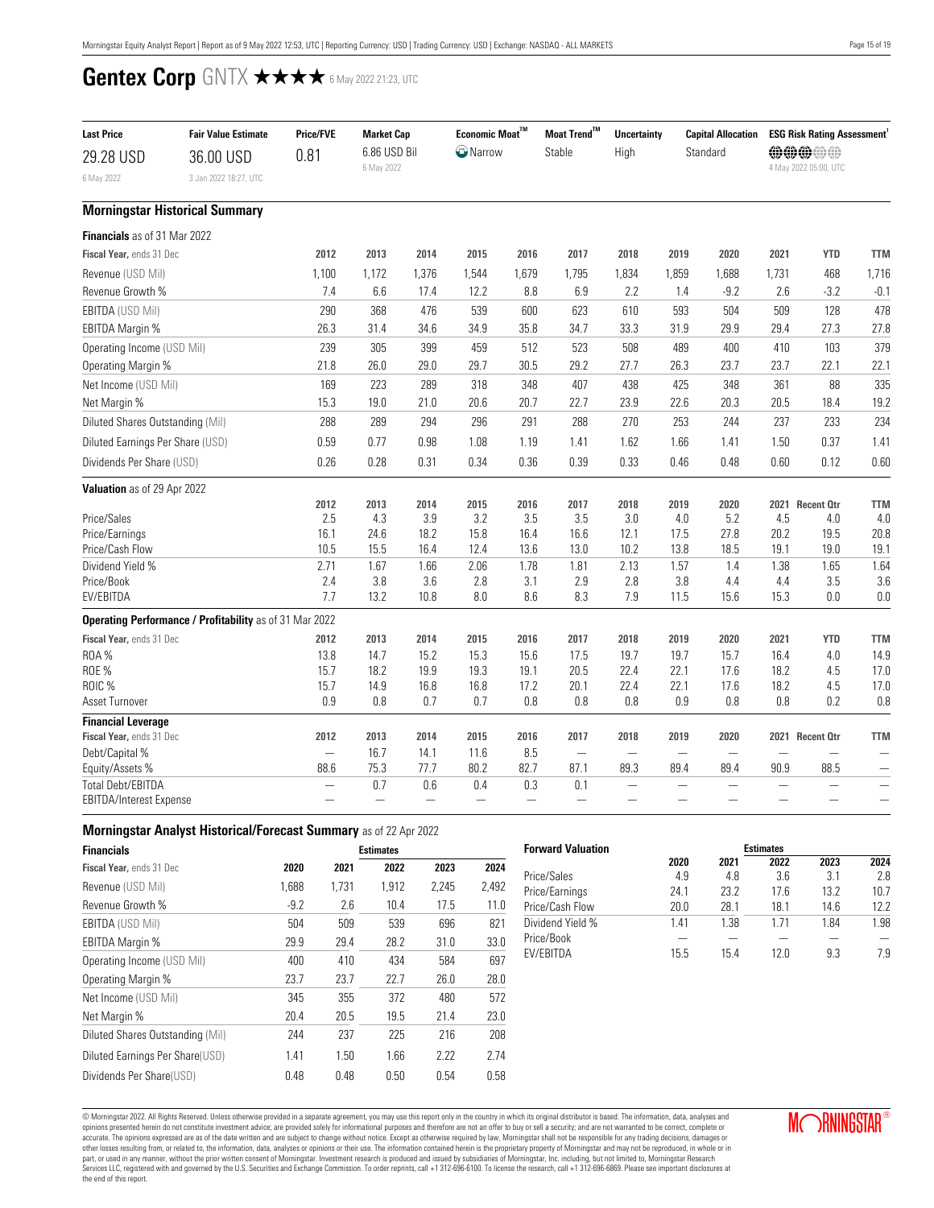<span id="page-14-0"></span>

| <b>Last Price</b><br>29.28 USD                      | <b>Fair Value Estimate</b><br>36.00 USD<br>3 Jan 2022 18:27, UTC | <b>Price/FVE</b><br>0.81 | <b>Market Cap</b><br>6.86 USD Bil<br>6 May 2022 |                                 | Economic Moat $^{\text{TM}}$<br>$\bigcirc$ Narrow |                        | Moat Trend™<br>Stable           | <b>Uncertainty</b><br>High | <b>Capital Allocation</b><br>Standard |                          |                          | <b>ESG Risk Rating Assessment</b><br>000000<br>4 May 2022 05:00, UTC |                          |
|-----------------------------------------------------|------------------------------------------------------------------|--------------------------|-------------------------------------------------|---------------------------------|---------------------------------------------------|------------------------|---------------------------------|----------------------------|---------------------------------------|--------------------------|--------------------------|----------------------------------------------------------------------|--------------------------|
| 6 May 2022                                          | <b>Morningstar Historical Summary</b>                            |                          |                                                 |                                 |                                                   |                        |                                 |                            |                                       |                          |                          |                                                                      |                          |
|                                                     |                                                                  |                          |                                                 |                                 |                                                   |                        |                                 |                            |                                       |                          |                          |                                                                      |                          |
| <b>Financials</b> as of 31 Mar 2022                 |                                                                  |                          |                                                 |                                 |                                                   |                        |                                 |                            |                                       |                          |                          |                                                                      |                          |
| Fiscal Year, ends 31 Dec                            |                                                                  | 2012                     | 2013                                            | 2014                            | 2015                                              | 2016                   | 2017                            | 2018                       | 2019                                  | 2020                     | 2021                     | <b>YTD</b>                                                           | <b>TTM</b>               |
| Revenue (USD Mil)                                   |                                                                  | 1,100                    | 1,172                                           | 1,376                           | 1,544                                             | 1.679                  | 1,795                           | 1,834                      | 1,859                                 | 1,688                    | 1,731                    | 468                                                                  | 1,716                    |
| Revenue Growth %                                    |                                                                  | 7.4                      | 6.6                                             | 17.4                            | 12.2                                              | 8.8                    | 6.9                             | 2.2                        | 1.4                                   | $-9.2$                   | 2.6                      | $-3.2$                                                               | $-0.1$                   |
| <b>EBITDA (USD Mil)</b>                             |                                                                  | 290                      | 368                                             | 476                             | 539                                               | 600                    | 623                             | 610                        | 593                                   | 504                      | 509                      | 128                                                                  | 478                      |
| <b>EBITDA Margin %</b>                              |                                                                  | 26.3                     | 31.4                                            | 34.6                            | 34.9                                              | 35.8                   | 34.7                            | 33.3                       | 31.9                                  | 29.9                     | 29.4                     | 27.3                                                                 | 27.8                     |
| Operating Income (USD Mil)                          |                                                                  | 239                      | 305                                             | 399                             | 459                                               | 512                    | 523                             | 508                        | 489                                   | 400                      | 410                      | 103                                                                  | 379                      |
| Operating Margin %                                  |                                                                  | 21.8                     | 26.0                                            | 29.0                            | 29.7                                              | 30.5                   | 29.2                            | 27.7                       | 26.3                                  | 23.7                     | 23.7                     | 22.1                                                                 | 22.1                     |
| Net Income (USD Mil)                                |                                                                  | 169                      | 223                                             | 289                             | 318                                               | 348                    | 407                             | 438                        | 425                                   | 348                      | 361                      | 88                                                                   | 335                      |
| Net Margin %                                        |                                                                  | 15.3                     | 19.0                                            | 21.0                            | 20.6                                              | 20.7                   | 22.7                            | 23.9                       | 22.6                                  | 20.3                     | 20.5                     | 18.4                                                                 | 19.2                     |
| Diluted Shares Outstanding (Mil)                    |                                                                  | 288                      | 289                                             | 294                             | 296                                               | 291                    | 288                             | 270                        | 253                                   | 244                      | 237                      | 233                                                                  | 234                      |
| Diluted Earnings Per Share (USD)                    |                                                                  | 0.59                     | 0.77                                            | 0.98                            | 1.08                                              | 1.19                   | 1.41                            | 1.62                       | 1.66                                  | 1.41                     | 1.50                     | 0.37                                                                 | 1.41                     |
| Dividends Per Share (USD)                           |                                                                  | 0.26                     | 0.28                                            | 0.31                            | 0.34                                              | 0.36                   | 0.39                            | 0.33                       | 0.46                                  | 0.48                     | 0.60                     | 0.12                                                                 | 0.60                     |
| Valuation as of 29 Apr 2022                         |                                                                  |                          |                                                 |                                 |                                                   |                        |                                 |                            |                                       |                          |                          |                                                                      |                          |
|                                                     |                                                                  | 2012                     | 2013                                            | 2014                            | 2015                                              | 2016                   | 2017                            | 2018                       | 2019                                  | 2020                     |                          | 2021 Recent Otr                                                      | <b>TTM</b>               |
| Price/Sales                                         |                                                                  | 2.5                      | 4.3                                             | 3.9                             | 3.2                                               | 3.5                    | 3.5                             | 3.0                        | 4.0                                   | 5.2                      | 4.5                      | 4.0                                                                  | 4.0                      |
| Price/Earnings                                      |                                                                  | 16.1                     | 24.6                                            | 18.2                            | 15.8                                              | 16.4                   | 16.6                            | 12.1                       | 17.5                                  | 27.8                     | 20.2                     | 19.5                                                                 | 20.8                     |
| Price/Cash Flow                                     |                                                                  | 10.5                     | 15.5                                            | 16.4                            | 12.4                                              | 13.6                   | 13.0                            | 10.2                       | 13.8                                  | 18.5                     | 19.1                     | 19.0                                                                 | 19.1                     |
| Dividend Yield %<br>Price/Book                      |                                                                  | 2.71<br>2.4              | 1.67<br>3.8                                     | 1.66<br>3.6                     | 2.06<br>2.8                                       | 1.78<br>3.1            | 1.81<br>2.9                     | 2.13<br>2.8                | 1.57<br>3.8                           | 1.4<br>4.4               | 1.38<br>4.4              | 1.65<br>3.5                                                          | 1.64<br>3.6              |
| EV/EBITDA                                           |                                                                  | 7.7                      | 13.2                                            | 10.8                            | 8.0                                               | 8.6                    | 8.3                             | 7.9                        | 11.5                                  | 15.6                     | 15.3                     | 0.0                                                                  | 0.0                      |
|                                                     | Operating Performance / Profitability as of 31 Mar 2022          |                          |                                                 |                                 |                                                   |                        |                                 |                            |                                       |                          |                          |                                                                      |                          |
| Fiscal Year, ends 31 Dec                            |                                                                  | 2012                     | 2013                                            | 2014                            | 2015                                              | 2016                   | 2017                            | 2018                       | 2019                                  | 2020                     | 2021                     | <b>YTD</b>                                                           | <b>TTM</b>               |
| <b>ROA%</b>                                         |                                                                  | 13.8                     | 14.7                                            | 15.2                            | 15.3                                              | 15.6                   | 17.5                            | 19.7                       | 19.7                                  | 15.7                     | 16.4                     | 4.0                                                                  | 14.9                     |
| <b>ROE %</b>                                        |                                                                  | 15.7                     | 18.2                                            | 19.9                            | 19.3                                              | 19.1                   | 20.5                            | 22.4                       | 22.1                                  | 17.6                     | 18.2                     | 4.5                                                                  | 17.0                     |
| ROIC %                                              |                                                                  | 15.7                     | 14.9                                            | 16.8                            | 16.8                                              | 17.2                   | 20.1                            | 22.4                       | 22.1                                  | 17.6                     | 18.2                     | 4.5                                                                  | 17.0                     |
| Asset Turnover                                      |                                                                  | 0.9                      | 0.8                                             | 0.7                             | 0.7                                               | 0.8                    | 0.8                             | 0.8                        | 0.9                                   | 0.8                      | 0.8                      | 0.2                                                                  | 0.8                      |
| <b>Financial Leverage</b>                           |                                                                  |                          |                                                 |                                 |                                                   |                        |                                 |                            |                                       |                          |                          |                                                                      |                          |
| Fiscal Year, ends 31 Dec                            |                                                                  | 2012                     | 2013                                            | 2014                            | 2015                                              | 2016                   | 2017                            | 2018                       | 2019                                  | 2020                     |                          | 2021 Recent Otr                                                      | <b>TTM</b>               |
| Debt/Capital %                                      |                                                                  |                          | 16.7                                            | 14.1                            | 11.6                                              | 8.5                    | $\overline{\phantom{0}}$        | —                          |                                       |                          |                          |                                                                      |                          |
| Equity/Assets %                                     |                                                                  | 88.6                     | 75.3                                            | 77.7                            | 80.2                                              | 82.7                   | 87.1                            | 89.3                       | 89.4                                  | 89.4                     | 90.9                     | 88.5                                                                 | $\overline{\phantom{0}}$ |
| <b>Total Debt/EBITDA</b><br>EBITDA/Interest Expense |                                                                  |                          | 0.7                                             | 0.6<br>$\overline{\phantom{0}}$ | 0.4<br>$\overline{\phantom{0}}$                   | 0.3<br>$\qquad \qquad$ | 0.1<br>$\overline{\phantom{0}}$ | $\overline{\phantom{a}}$   |                                       | $\overline{\phantom{0}}$ | $\overline{\phantom{a}}$ |                                                                      |                          |
|                                                     |                                                                  |                          |                                                 |                                 |                                                   |                        |                                 |                            |                                       |                          |                          |                                                                      |                          |

### **Morningstar Analyst Historical/Forecast Summary** as of 22 Apr 2022

| <b>Financials</b>                |        |       | <b>Estimates</b> |       |       |
|----------------------------------|--------|-------|------------------|-------|-------|
| Fiscal Year, ends 31 Dec         | 2020   | 2021  | 2022             | 2023  | 2024  |
| Revenue (USD Mil)                | 1.688  | 1.731 | 1.912            | 2.245 | 2,492 |
| Revenue Growth %                 | $-9.2$ | 2.6   | 10.4             | 17.5  | 11.0  |
| <b>EBITDA (USD Mil)</b>          | 504    | 509   | 539              | 696   | 821   |
| EBITDA Margin %                  | 29.9   | 29.4  | 28.2             | 31.0  | 33.0  |
| Operating Income (USD Mil)       | 400    | 410   | 434              | 584   | 697   |
| Operating Margin %               | 23.7   | 23.7  | 22.7             | 26.0  | 28.0  |
| Net Income (USD Mil)             | 345    | 355   | 372              | 480   | 572   |
| Net Margin %                     | 20.4   | 20.5  | 19.5             | 21.4  | 23.0  |
| Diluted Shares Outstanding (Mil) | 244    | 237   | 225              | 216   | 208   |
| Diluted Earnings Per Share(USD)  | 1.41   | 1.50  | 1.66             | 2.22  | 2.74  |
| Dividends Per Share(USD)         | 0.48   | 0.48  | 0.50             | 0.54  | 0.58  |

| <b>Forward Valuation</b> | <b>Estimates</b> |      |      |                 |      |
|--------------------------|------------------|------|------|-----------------|------|
|                          | 2020             | 2021 | 2022 | 2023            | 2024 |
| Price/Sales              | 4.9              | 4.8  | 3.6  | 3.1             | 2.8  |
| Price/Earnings           | 24 1             | 23.2 | 17 6 | 13 <sub>2</sub> | 10.7 |
| Price/Cash Flow          | 20.0             | 28.1 | 18.1 | 14.6            | 122  |
| Dividend Yield %         | 1 41             | 1.38 | 1 71 | 184             | 1.98 |
| Price/Book               |                  |      |      |                 |      |
| <b>FV/FRITDA</b>         | 15.5             | 154  | 12 በ | 93              | 7.9  |

© Morningstar 2022. All Rights Reserved. Unless otherwise provided in a separate agreement, you may use this report only in the country in which its original distributor is based. The information, data, analyses and<br>opinio accurate. The opinions expressed are as of the date written and are subject to change without notice. Except as otherwise required by law, Morningstar shall not be responsible for any trading decisions, damages or<br>other lo the end of this report.

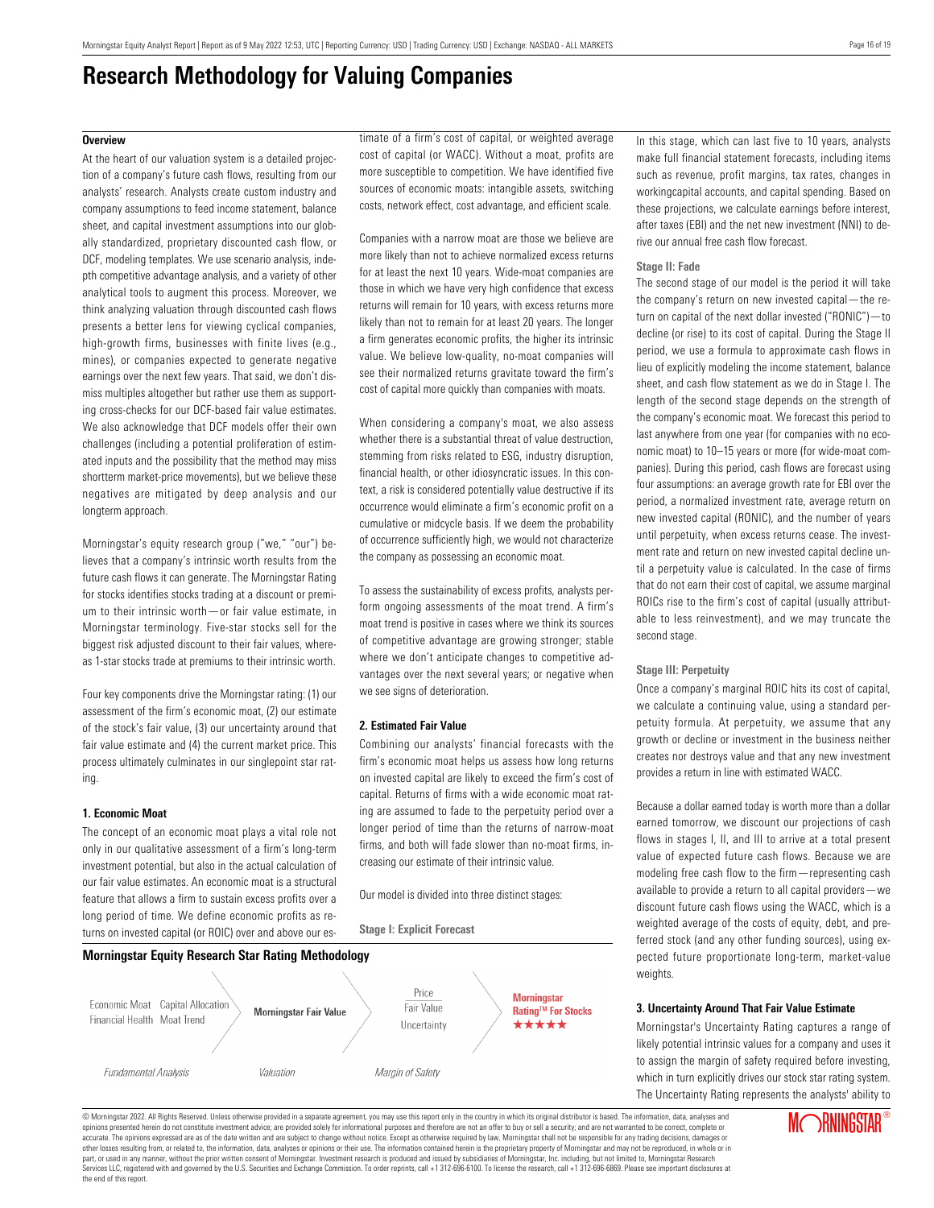# **Research Methodology for Valuing Companies**

#### <span id="page-15-0"></span>**Overview**

At the heart of our valuation system is a detailed projection of a company's future cash flows, resulting from our analysts' research. Analysts create custom industry and company assumptions to feed income statement, balance sheet, and capital investment assumptions into our globally standardized, proprietary discounted cash flow, or DCF, modeling templates. We use scenario analysis, indepth competitive advantage analysis, and a variety of other analytical tools to augment this process. Moreover, we think analyzing valuation through discounted cash flows presents a better lens for viewing cyclical companies, high-growth firms, businesses with finite lives (e.g., mines), or companies expected to generate negative earnings over the next few years. That said, we don't dismiss multiples altogether but rather use them as supporting cross-checks for our DCF-based fair value estimates. We also acknowledge that DCF models offer their own challenges (including a potential proliferation of estimated inputs and the possibility that the method may miss shortterm market-price movements), but we believe these negatives are mitigated by deep analysis and our longterm approach.

Morningstar's equity research group ("we," "our") believes that a company's intrinsic worth results from the future cash flows it can generate. The Morningstar Rating for stocks identifies stocks trading at a discount or premium to their intrinsic worth—or fair value estimate, in Morningstar terminology. Five-star stocks sell for the biggest risk adjusted discount to their fair values, whereas 1-star stocks trade at premiums to their intrinsic worth.

Four key components drive the Morningstar rating: (1) our assessment of the firm's economic moat, (2) our estimate of the stock's fair value, (3) our uncertainty around that fair value estimate and (4) the current market price. This process ultimately culminates in our singlepoint star rating.

#### **1. Economic Moat**

The concept of an economic moat plays a vital role not only in our qualitative assessment of a firm's long-term investment potential, but also in the actual calculation of our fair value estimates. An economic moat is a structural feature that allows a firm to sustain excess profits over a long period of time. We define economic profits as returns on invested capital (or ROIC) over and above our estimate of a firm's cost of capital, or weighted average cost of capital (or WACC). Without a moat, profits are more susceptible to competition. We have identified five sources of economic moats: intangible assets, switching costs, network effect, cost advantage, and efficient scale.

Companies with a narrow moat are those we believe are more likely than not to achieve normalized excess returns for at least the next 10 years. Wide-moat companies are those in which we have very high confidence that excess returns will remain for 10 years, with excess returns more likely than not to remain for at least 20 years. The longer a firm generates economic profits, the higher its intrinsic value. We believe low-quality, no-moat companies will see their normalized returns gravitate toward the firm's cost of capital more quickly than companies with moats.

When considering a company's moat, we also assess whether there is a substantial threat of value destruction, stemming from risks related to ESG, industry disruption, financial health, or other idiosyncratic issues. In this context, a risk is considered potentially value destructive if its occurrence would eliminate a firm's economic profit on a cumulative or midcycle basis. If we deem the probability of occurrence sufficiently high, we would not characterize the company as possessing an economic moat.

To assess the sustainability of excess profits, analysts perform ongoing assessments of the moat trend. A firm's moat trend is positive in cases where we think its sources of competitive advantage are growing stronger; stable where we don't anticipate changes to competitive advantages over the next several years; or negative when we see signs of deterioration.

#### **2. Estimated Fair Value**

**Stage I: Explicit Forecast**

Combining our analysts' financial forecasts with the firm's economic moat helps us assess how long returns on invested capital are likely to exceed the firm's cost of capital. Returns of firms with a wide economic moat rating are assumed to fade to the perpetuity period over a longer period of time than the returns of narrow-moat firms, and both will fade slower than no-moat firms, increasing our estimate of their intrinsic value.

Our model is divided into three distinct stages:



In this stage, which can last five to 10 years, analysts make full financial statement forecasts, including items such as revenue, profit margins, tax rates, changes in workingcapital accounts, and capital spending. Based on these projections, we calculate earnings before interest, after taxes (EBI) and the net new investment (NNI) to derive our annual free cash flow forecast.

#### **Stage II: Fade**

The second stage of our model is the period it will take the company's return on new invested capital—the return on capital of the next dollar invested ("RONIC")—to decline (or rise) to its cost of capital. During the Stage II period, we use a formula to approximate cash flows in lieu of explicitly modeling the income statement, balance sheet, and cash flow statement as we do in Stage I. The length of the second stage depends on the strength of the company's economic moat. We forecast this period to last anywhere from one year (for companies with no economic moat) to 10–15 years or more (for wide-moat companies). During this period, cash flows are forecast using four assumptions: an average growth rate for EBI over the period, a normalized investment rate, average return on new invested capital (RONIC), and the number of years until perpetuity, when excess returns cease. The investment rate and return on new invested capital decline until a perpetuity value is calculated. In the case of firms that do not earn their cost of capital, we assume marginal ROICs rise to the firm's cost of capital (usually attributable to less reinvestment), and we may truncate the second stage.

#### **Stage III: Perpetuity**

Once a company's marginal ROIC hits its cost of capital, we calculate a continuing value, using a standard perpetuity formula. At perpetuity, we assume that any growth or decline or investment in the business neither creates nor destroys value and that any new investment provides a return in line with estimated WACC.

Because a dollar earned today is worth more than a dollar earned tomorrow, we discount our projections of cash flows in stages I, II, and III to arrive at a total present value of expected future cash flows. Because we are modeling free cash flow to the firm—representing cash available to provide a return to all capital providers—we discount future cash flows using the WACC, which is a weighted average of the costs of equity, debt, and preferred stock (and any other funding sources), using expected future proportionate long-term, market-value weights.

#### **3. Uncertainty Around That Fair Value Estimate**

Morningstar's Uncertainty Rating captures a range of likely potential intrinsic values for a company and uses it to assign the margin of safety required before investing, which in turn explicitly drives our stock star rating system. The Uncertainty Rating represents the analysts' ability to

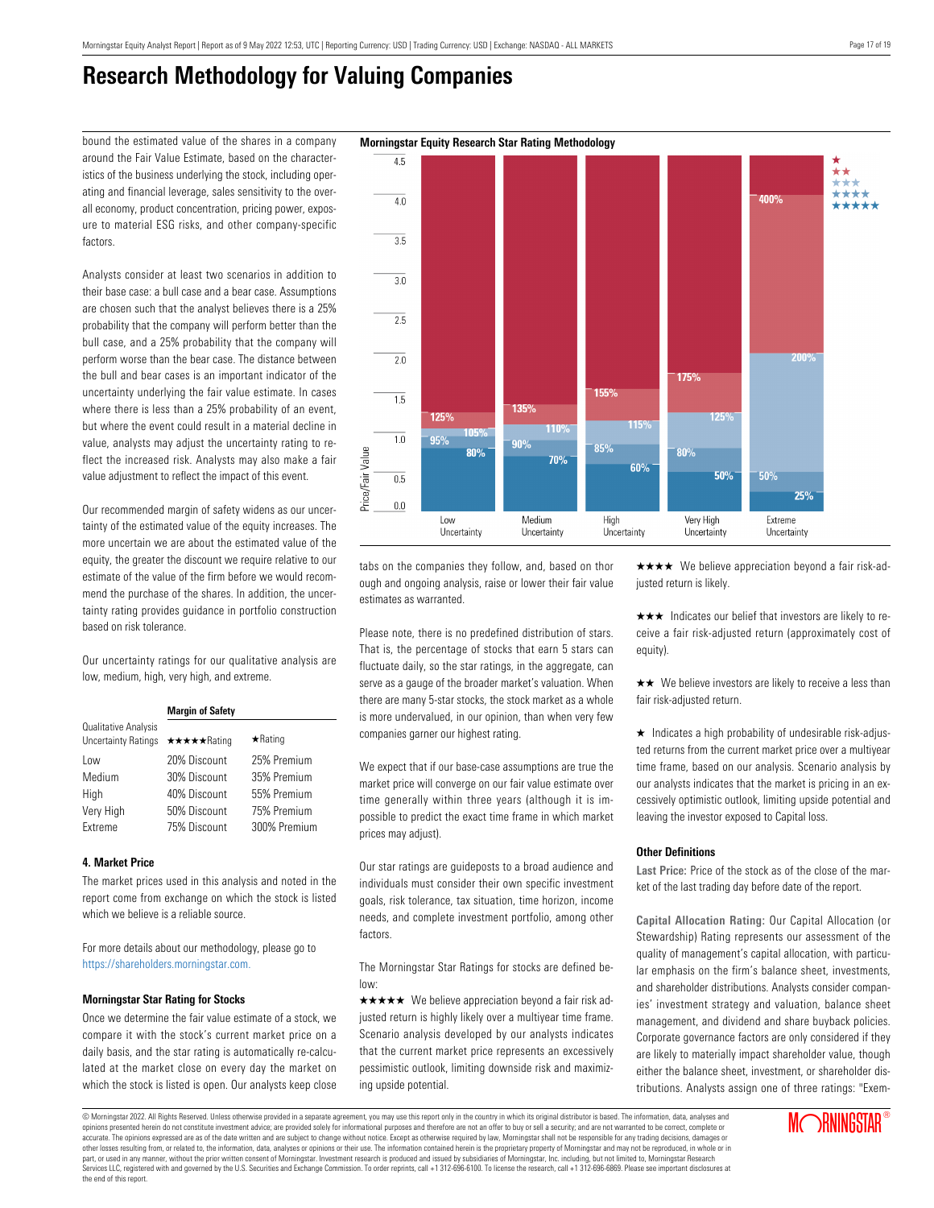$4.5$ 

 $\overline{40}$ 

 $\overline{35}$ 

 $3.0$ 

 $\overline{2.5}$ 

 $\overline{2.0}$ 

 $\overline{1.5}$ 

 $1.0$ 

 $\overline{0.5}$ 

 $0.0$ 

Price/Fair Value

# **Research Methodology for Valuing Companies**

bound the estimated value of the shares in a company **Morningstar Equity Research Star Rating Methodology** around the Fair Value Estimate, based on the characteristics of the business underlying the stock, including operating and financial leverage, sales sensitivity to the overall economy, product concentration, pricing power, exposure to material ESG risks, and other company-specific factors.

Analysts consider at least two scenarios in addition to their base case: a bull case and a bear case. Assumptions are chosen such that the analyst believes there is a 25% probability that the company will perform better than the bull case, and a 25% probability that the company will perform worse than the bear case. The distance between the bull and bear cases is an important indicator of the uncertainty underlying the fair value estimate. In cases where there is less than a 25% probability of an event, but where the event could result in a material decline in value, analysts may adjust the uncertainty rating to reflect the increased risk. Analysts may also make a fair value adjustment to reflect the impact of this event.

Our recommended margin of safety widens as our uncertainty of the estimated value of the equity increases. The more uncertain we are about the estimated value of the equity, the greater the discount we require relative to our estimate of the value of the firm before we would recommend the purchase of the shares. In addition, the uncertainty rating provides guidance in portfolio construction based on risk tolerance.

Our uncertainty ratings for our qualitative analysis are low, medium, high, very high, and extreme.

|                                                    | <b>Margin of Safety</b> |                |  |
|----------------------------------------------------|-------------------------|----------------|--|
| Qualitative Analysis<br><b>Uncertainty Ratings</b> | ★★★★★Rating             | $\star$ Rating |  |
| Low                                                | 20% Discount            | 25% Premium    |  |
| Medium                                             | 30% Discount            | 35% Premium    |  |
| High                                               | 40% Discount            | 55% Premium    |  |
| Very High                                          | 50% Discount            | 75% Premium    |  |
| Extreme                                            | 75% Discount            | 300% Premium   |  |

### **4. Market Price**

The market prices used in this analysis and noted in the report come from exchange on which the stock is listed which we believe is a reliable source.

For more details about our methodology, please go to <https://shareholders.morningstar.com.>

### **Morningstar Star Rating for Stocks**

Once we determine the fair value estimate of a stock, we compare it with the stock's current market price on a daily basis, and the star rating is automatically re-calculated at the market close on every day the market on which the stock is listed is open. Our analysts keep close

tabs on the companies they follow, and, based on thor ough and ongoing analysis, raise or lower their fair value estimates as warranted.

Please note, there is no predefined distribution of stars. That is, the percentage of stocks that earn 5 stars can fluctuate daily, so the star ratings, in the aggregate, can serve as a gauge of the broader market's valuation. When there are many 5-star stocks, the stock market as a whole is more undervalued, in our opinion, than when very few companies garner our highest rating.

We expect that if our base-case assumptions are true the market price will converge on our fair value estimate over time generally within three years (although it is impossible to predict the exact time frame in which market prices may adjust).

Our star ratings are guideposts to a broad audience and individuals must consider their own specific investment goals, risk tolerance, tax situation, time horizon, income needs, and complete investment portfolio, among other factors.

The Morningstar Star Ratings for stocks are defined below:

 $\star \star \star \star$  We believe appreciation beyond a fair risk adjusted return is highly likely over a multiyear time frame. Scenario analysis developed by our analysts indicates that the current market price represents an excessively pessimistic outlook, limiting downside risk and maximizing upside potential.

 $\star \star \star \star$  We believe appreciation beyond a fair risk-adjusted return is likely.

**Annoy** 

 $\star \star \star$  Indicates our belief that investors are likely to receive a fair risk-adjusted return (approximately cost of equity).

 $\star\star$  We believe investors are likely to receive a less than fair risk-adjusted return.

 $\star$  Indicates a high probability of undesirable risk-adjusted returns from the current market price over a multiyear time frame, based on our analysis. Scenario analysis by our analysts indicates that the market is pricing in an excessively optimistic outlook, limiting upside potential and leaving the investor exposed to Capital loss.

### **Other Definitions**

**Last Price:** Price of the stock as of the close of the market of the last trading day before date of the report.

**Capital Allocation Rating:** Our Capital Allocation (or Stewardship) Rating represents our assessment of the quality of management's capital allocation, with particular emphasis on the firm's balance sheet, investments, and shareholder distributions. Analysts consider companies' investment strategy and valuation, balance sheet management, and dividend and share buyback policies. Corporate governance factors are only considered if they are likely to materially impact shareholder value, though either the balance sheet, investment, or shareholder distributions. Analysts assign one of three ratings: "Exem-





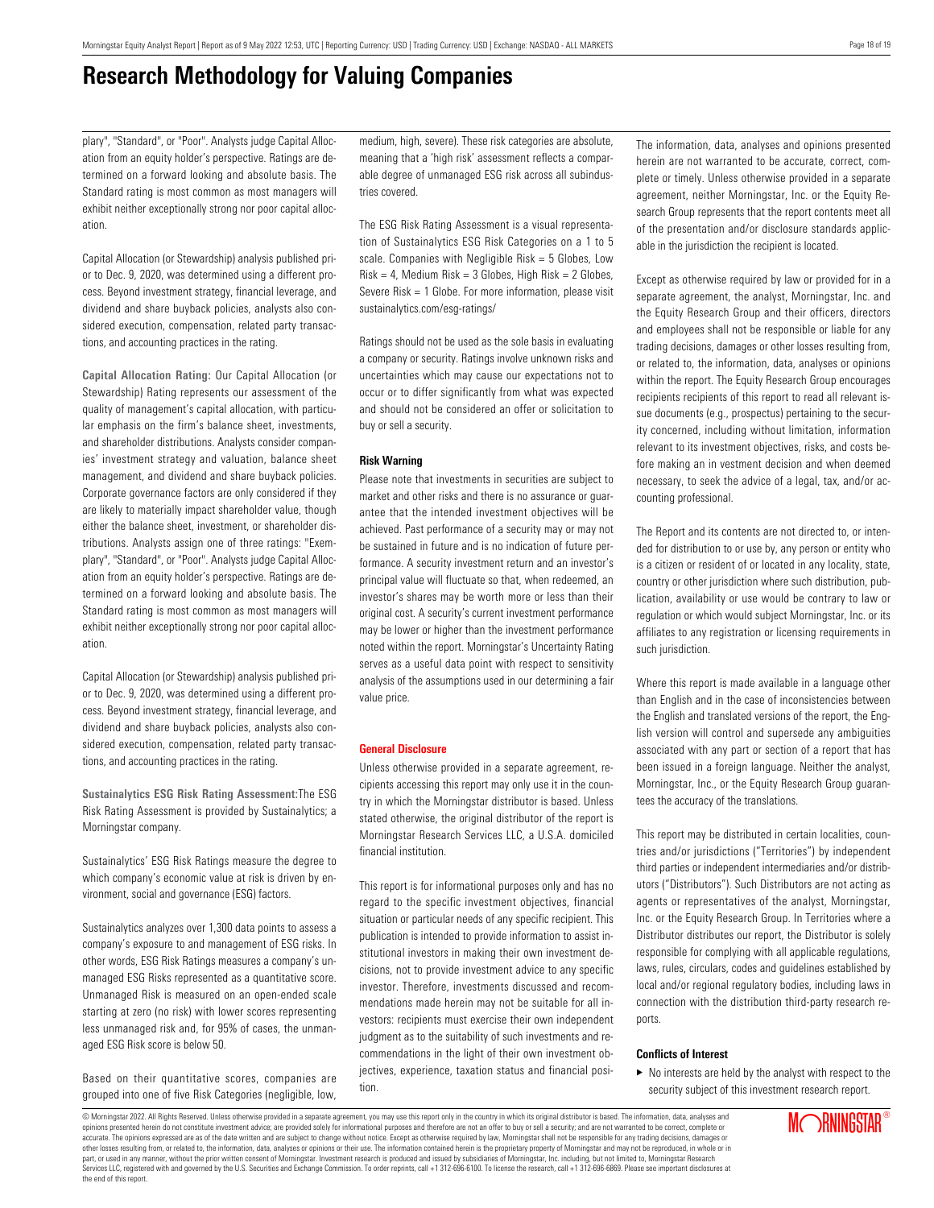# **Research Methodology for Valuing Companies**

plary", "Standard", or "Poor". Analysts judge Capital Allocation from an equity holder's perspective. Ratings are determined on a forward looking and absolute basis. The Standard rating is most common as most managers will exhibit neither exceptionally strong nor poor capital allocation.

Capital Allocation (or Stewardship) analysis published prior to Dec. 9, 2020, was determined using a different process. Beyond investment strategy, financial leverage, and dividend and share buyback policies, analysts also considered execution, compensation, related party transactions, and accounting practices in the rating.

**Capital Allocation Rating:** Our Capital Allocation (or Stewardship) Rating represents our assessment of the quality of management's capital allocation, with particular emphasis on the firm's balance sheet, investments, and shareholder distributions. Analysts consider companies' investment strategy and valuation, balance sheet management, and dividend and share buyback policies. Corporate governance factors are only considered if they are likely to materially impact shareholder value, though either the balance sheet, investment, or shareholder distributions. Analysts assign one of three ratings: "Exemplary", "Standard", or "Poor". Analysts judge Capital Allocation from an equity holder's perspective. Ratings are determined on a forward looking and absolute basis. The Standard rating is most common as most managers will exhibit neither exceptionally strong nor poor capital allocation.

Capital Allocation (or Stewardship) analysis published prior to Dec. 9, 2020, was determined using a different process. Beyond investment strategy, financial leverage, and dividend and share buyback policies, analysts also considered execution, compensation, related party transactions, and accounting practices in the rating.

**Sustainalytics ESG Risk Rating Assessment:**The ESG Risk Rating Assessment is provided by Sustainalytics; a Morningstar company.

Sustainalytics' ESG Risk Ratings measure the degree to which company's economic value at risk is driven by environment, social and governance (ESG) factors.

Sustainalytics analyzes over 1,300 data points to assess a company's exposure to and management of ESG risks. In other words, ESG Risk Ratings measures a company's unmanaged ESG Risks represented as a quantitative score. Unmanaged Risk is measured on an open-ended scale starting at zero (no risk) with lower scores representing less unmanaged risk and, for 95% of cases, the unmanaged ESG Risk score is below 50.

Based on their quantitative scores, companies are grouped into one of five Risk Categories (negligible, low, medium, high, severe). These risk categories are absolute, meaning that a 'high risk' assessment reflects a comparable degree of unmanaged ESG risk across all subindustries covered.

The ESG Risk Rating Assessment is a visual representation of Sustainalytics ESG Risk Categories on a 1 to 5 scale. Companies with Negligible Risk = 5 Globes, Low  $Risk = 4$ , Medium Risk = 3 Globes, High Risk = 2 Globes, Severe Risk = 1 Globe. For more information, please visit sustainalytics.com/esg-ratings/

Ratings should not be used as the sole basis in evaluating a company or security. Ratings involve unknown risks and uncertainties which may cause our expectations not to occur or to differ significantly from what was expected and should not be considered an offer or solicitation to buy or sell a security.

### **Risk Warning**

Please note that investments in securities are subject to market and other risks and there is no assurance or guarantee that the intended investment objectives will be achieved. Past performance of a security may or may not be sustained in future and is no indication of future performance. A security investment return and an investor's principal value will fluctuate so that, when redeemed, an investor's shares may be worth more or less than their original cost. A security's current investment performance may be lower or higher than the investment performance noted within the report. Morningstar's Uncertainty Rating serves as a useful data point with respect to sensitivity analysis of the assumptions used in our determining a fair value price.

#### **General Disclosure**

Unless otherwise provided in a separate agreement, recipients accessing this report may only use it in the country in which the Morningstar distributor is based. Unless stated otherwise, the original distributor of the report is Morningstar Research Services LLC, a U.S.A. domiciled financial institution.

This report is for informational purposes only and has no regard to the specific investment objectives, financial situation or particular needs of any specific recipient. This publication is intended to provide information to assist institutional investors in making their own investment decisions, not to provide investment advice to any specific investor. Therefore, investments discussed and recommendations made herein may not be suitable for all investors: recipients must exercise their own independent judgment as to the suitability of such investments and recommendations in the light of their own investment objectives, experience, taxation status and financial position.

The information, data, analyses and opinions presented herein are not warranted to be accurate, correct, complete or timely. Unless otherwise provided in a separate agreement, neither Morningstar, Inc. or the Equity Research Group represents that the report contents meet all of the presentation and/or disclosure standards applicable in the jurisdiction the recipient is located.

Except as otherwise required by law or provided for in a separate agreement, the analyst, Morningstar, Inc. and the Equity Research Group and their officers, directors and employees shall not be responsible or liable for any trading decisions, damages or other losses resulting from, or related to, the information, data, analyses or opinions within the report. The Equity Research Group encourages recipients recipients of this report to read all relevant issue documents (e.g., prospectus) pertaining to the security concerned, including without limitation, information relevant to its investment objectives, risks, and costs before making an in vestment decision and when deemed necessary, to seek the advice of a legal, tax, and/or accounting professional.

The Report and its contents are not directed to, or intended for distribution to or use by, any person or entity who is a citizen or resident of or located in any locality, state, country or other jurisdiction where such distribution, publication, availability or use would be contrary to law or regulation or which would subject Morningstar, Inc. or its affiliates to any registration or licensing requirements in such jurisdiction.

Where this report is made available in a language other than English and in the case of inconsistencies between the English and translated versions of the report, the English version will control and supersede any ambiguities associated with any part or section of a report that has been issued in a foreign language. Neither the analyst, Morningstar, Inc., or the Equity Research Group guarantees the accuracy of the translations.

This report may be distributed in certain localities, countries and/or jurisdictions ("Territories") by independent third parties or independent intermediaries and/or distributors ("Distributors"). Such Distributors are not acting as agents or representatives of the analyst, Morningstar, Inc. or the Equity Research Group. In Territories where a Distributor distributes our report, the Distributor is solely responsible for complying with all applicable regulations, laws, rules, circulars, codes and guidelines established by local and/or regional regulatory bodies, including laws in connection with the distribution third-party research reports.

### **Conflicts of Interest**

 $\blacktriangleright$  No interests are held by the analyst with respect to the security subject of this investment research report.